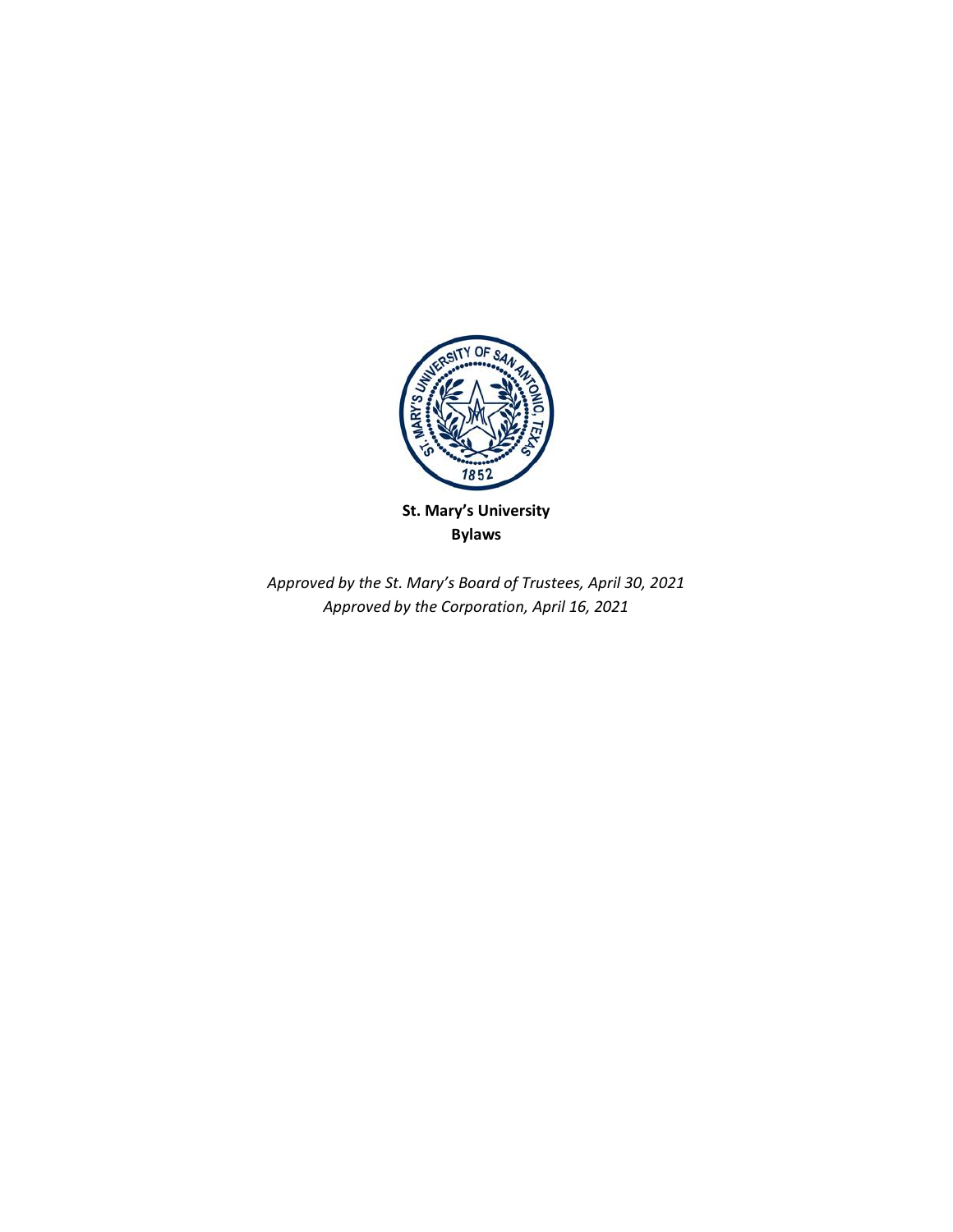

**St. Mary's University Bylaws**

*Approved by the St. Mary's Board of Trustees, April 30, 2021 Approved by the Corporation, April 16, 2021*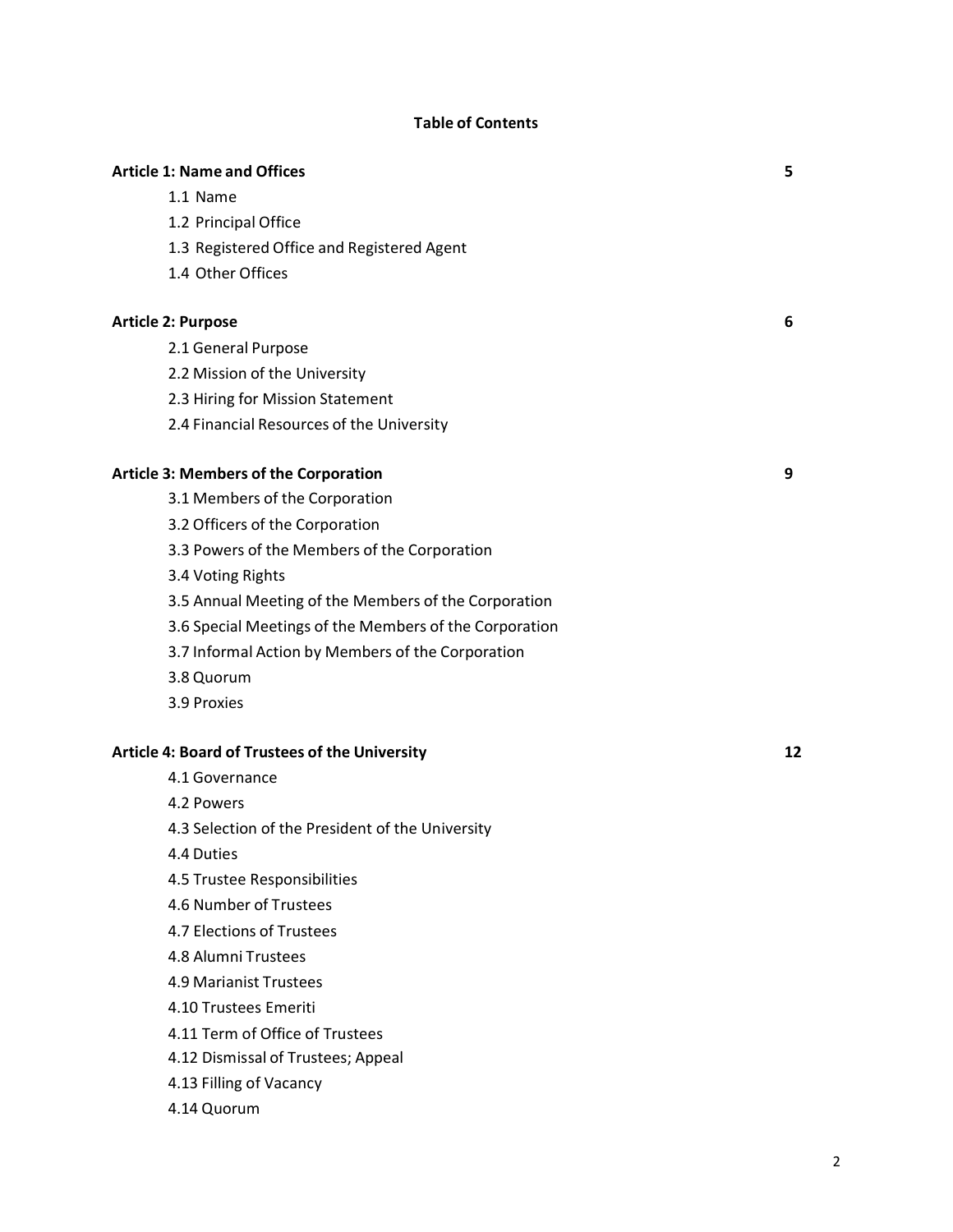# **Table of Contents**

|                                              | <b>Article 1: Name and Offices</b>                     | 5  |
|----------------------------------------------|--------------------------------------------------------|----|
|                                              | 1.1 Name                                               |    |
|                                              | 1.2 Principal Office                                   |    |
|                                              | 1.3 Registered Office and Registered Agent             |    |
|                                              | 1.4 Other Offices                                      |    |
|                                              | <b>Article 2: Purpose</b>                              | 6  |
|                                              | 2.1 General Purpose                                    |    |
|                                              | 2.2 Mission of the University                          |    |
|                                              | 2.3 Hiring for Mission Statement                       |    |
|                                              | 2.4 Financial Resources of the University              |    |
| <b>Article 3: Members of the Corporation</b> |                                                        | 9  |
|                                              | 3.1 Members of the Corporation                         |    |
|                                              | 3.2 Officers of the Corporation                        |    |
|                                              | 3.3 Powers of the Members of the Corporation           |    |
|                                              | 3.4 Voting Rights                                      |    |
|                                              | 3.5 Annual Meeting of the Members of the Corporation   |    |
|                                              | 3.6 Special Meetings of the Members of the Corporation |    |
|                                              | 3.7 Informal Action by Members of the Corporation      |    |
|                                              | 3.8 Quorum                                             |    |
|                                              | 3.9 Proxies                                            |    |
|                                              | <b>Article 4: Board of Trustees of the University</b>  | 12 |
|                                              | 4.1 Governance                                         |    |
|                                              | 4.2 Powers                                             |    |
|                                              | 4.3 Selection of the President of the University       |    |
|                                              |                                                        |    |

- 4.4 Duties
- 4.5 Trustee Responsibilities
- 4.6 Number of Trustees
- 4.7 Elections of Trustees
- 4.8 Alumni Trustees
- 4.9 Marianist Trustees
- 4.10 Trustees Emeriti
- 4.11 Term of Office of Trustees
- 4.12 Dismissal of Trustees; Appeal
- 4.13 Filling of Vacancy
- 4.14 Quorum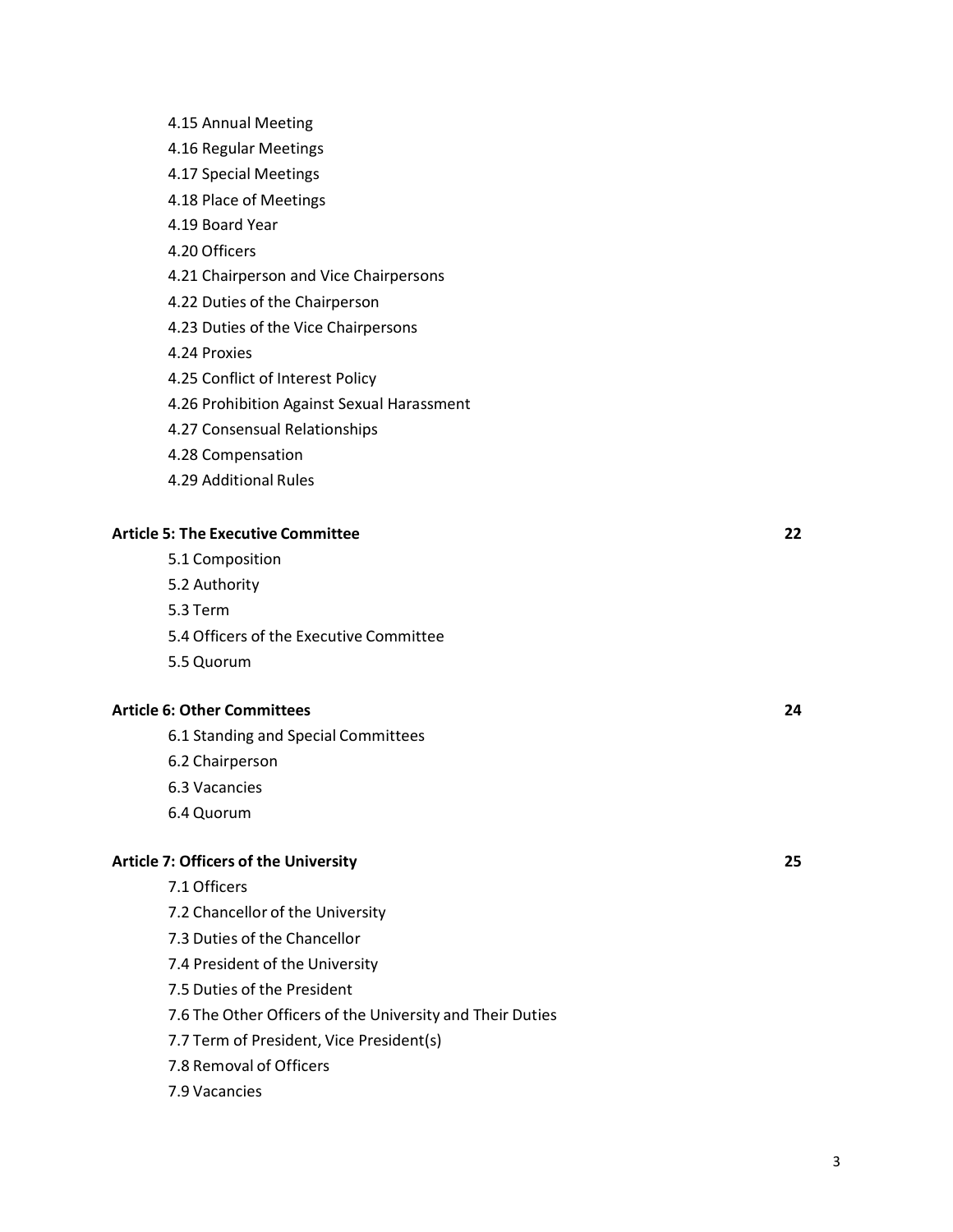- 4.15 Annual Meeting
- 4.16 Regular Meetings
- 4.17 Special Meetings
- 4.18 Place of Meetings
- 4.19 Board Year
- 4.20 Officers
- 4.21 Chairperson and Vice Chairpersons
- 4.22 Duties of the Chairperson
- 4.23 Duties of the Vice Chairpersons
- 4.24 Proxies
- 4.25 Conflict of Interest Policy
- 4.26 Prohibition Against Sexual Harassment
- 4.27 Consensual Relationships
- 4.28 Compensation
- 4.29 Additional Rules

# **Article 5: The Executive Committee 22**

- 5.1 Composition
- 5.2 Authority
- 5.3 Term
- 5.4 Officers of the Executive Committee
- 5.5 Quorum

#### **Article 6: Other Committees 24**

- 6.1 Standing and Special Committees
- 6.2 Chairperson
- 6.3 Vacancies
- 6.4 Quorum

# **Article 7: Officers of the University 25**

- 7.1 Officers
- 7.2 Chancellor of the University
- 7.3 Duties of the Chancellor
- 7.4 President of the University
- 7.5 Duties of the President
- 7.6 The Other Officers of the University and Their Duties
- 7.7 Term of President, Vice President(s)
- 7.8 Removal of Officers

# 7.9 Vacancies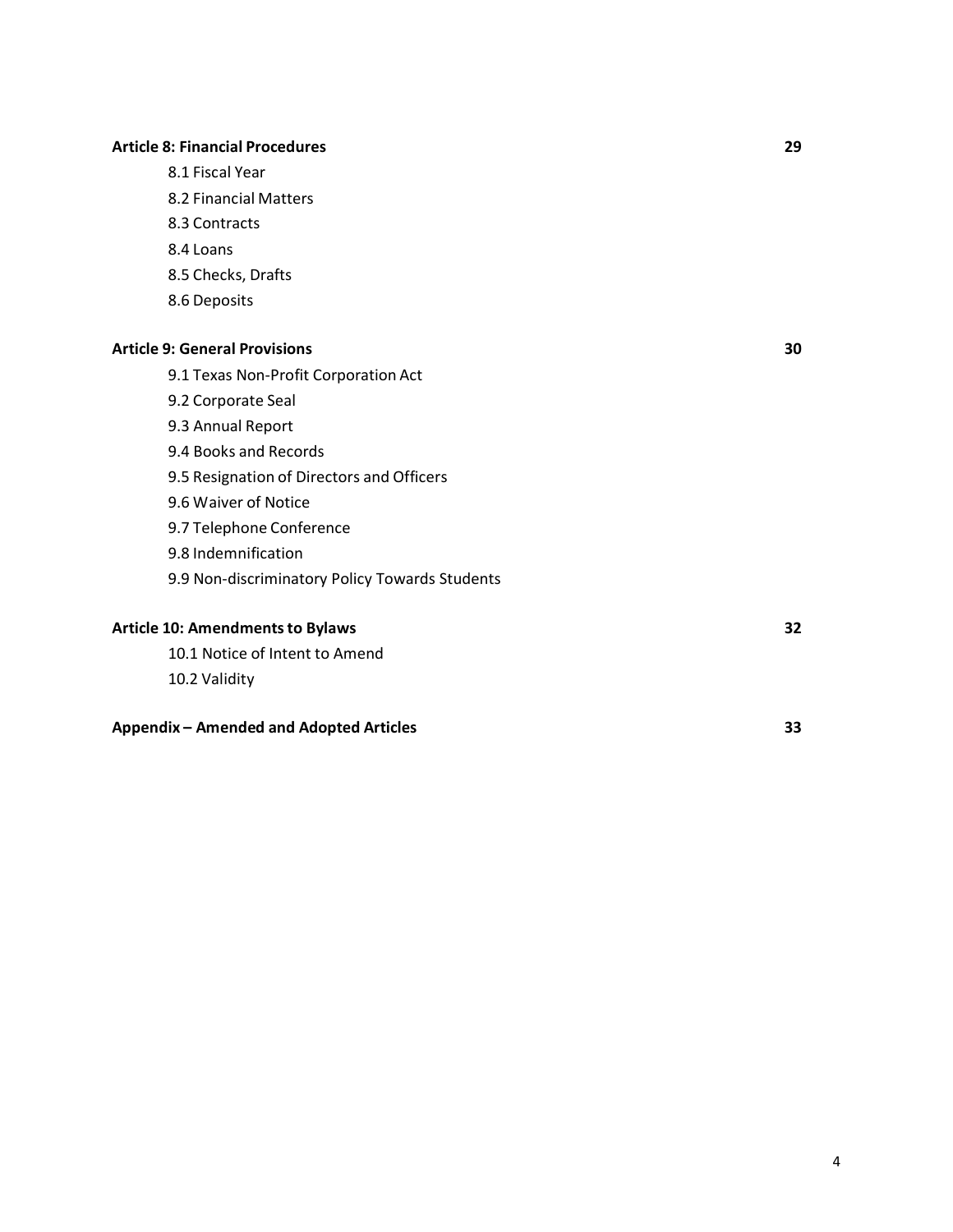# **Article 8: Financial Procedures 29**

- 8.1 Fiscal Year
- 8.2 Financial Matters
- 8.3 Contracts
- 8.4 Loans
- 8.5 Checks, Drafts
- 8.6 Deposits

#### **Article 9: General Provisions 30**

- 9.1 Texas Non-Profit Corporation Act
- 9.2 Corporate Seal
- 9.3 Annual Report
- 9.4 Books and Records
- 9.5 Resignation of Directors and Officers
- 9.6 Waiver of Notice
- 9.7 Telephone Conference
- 9.8 Indemnification
- 9.9 Non-discriminatory Policy Towards Students

# **Article 10: Amendmentsto Bylaws 32**

10.1 Notice of Intent to Amend 10.2 Validity

#### **Appendix – Amended and Adopted Articles 33**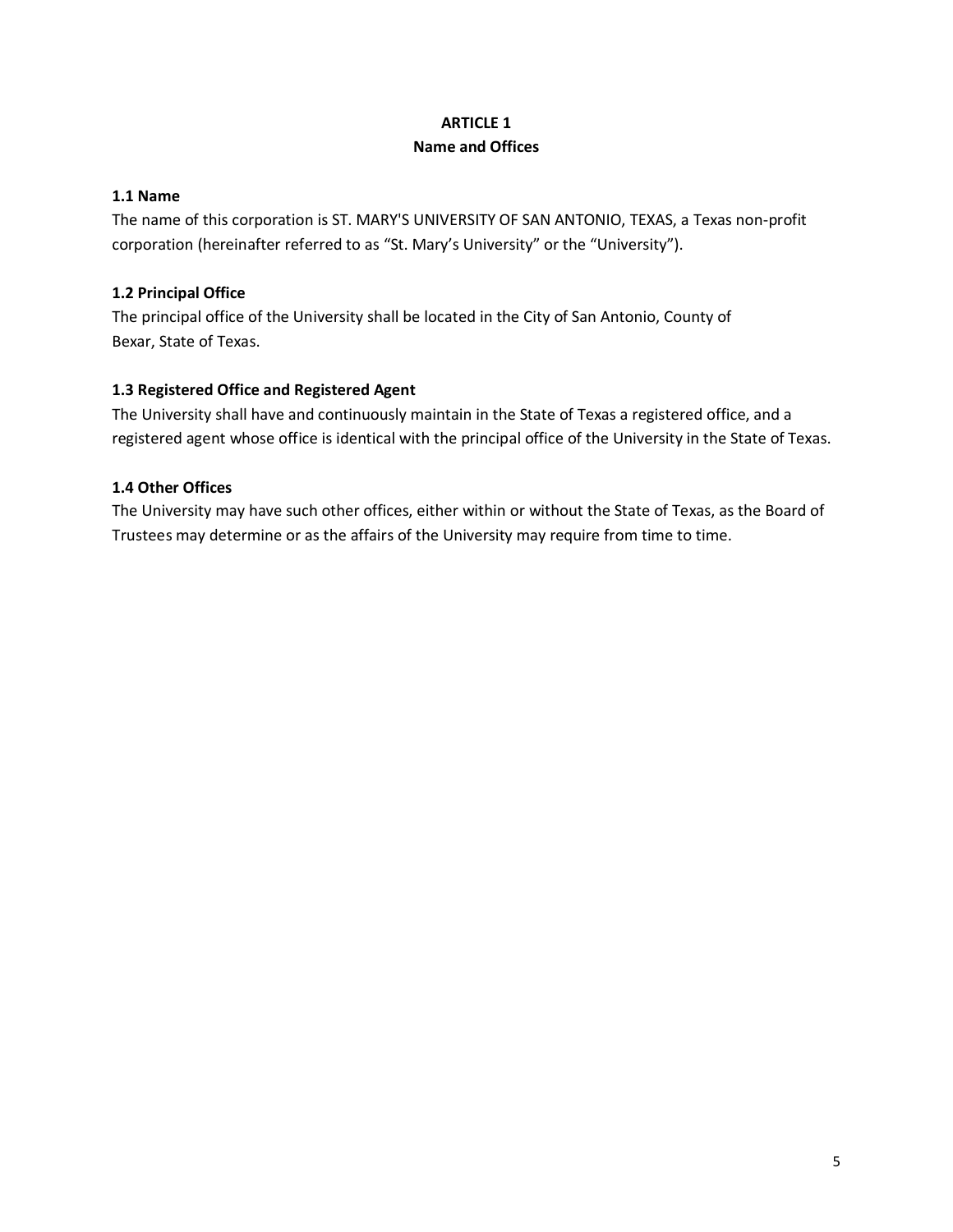# **ARTICLE 1 Name and Offices**

# **1.1 Name**

The name of this corporation is ST. MARY'S UNIVERSITY OF SAN ANTONIO, TEXAS, a Texas non-profit corporation (hereinafter referred to as "St. Mary's University" or the "University").

# **1.2 Principal Office**

The principal office of the University shall be located in the City of San Antonio, County of Bexar, State of Texas.

# **1.3 Registered Office and Registered Agent**

The University shall have and continuously maintain in the State of Texas a registered office, and a registered agent whose office is identical with the principal office of the University in the State of Texas.

# **1.4 Other Offices**

The University may have such other offices, either within or without the State of Texas, as the Board of Trustees may determine or as the affairs of the University may require from time to time.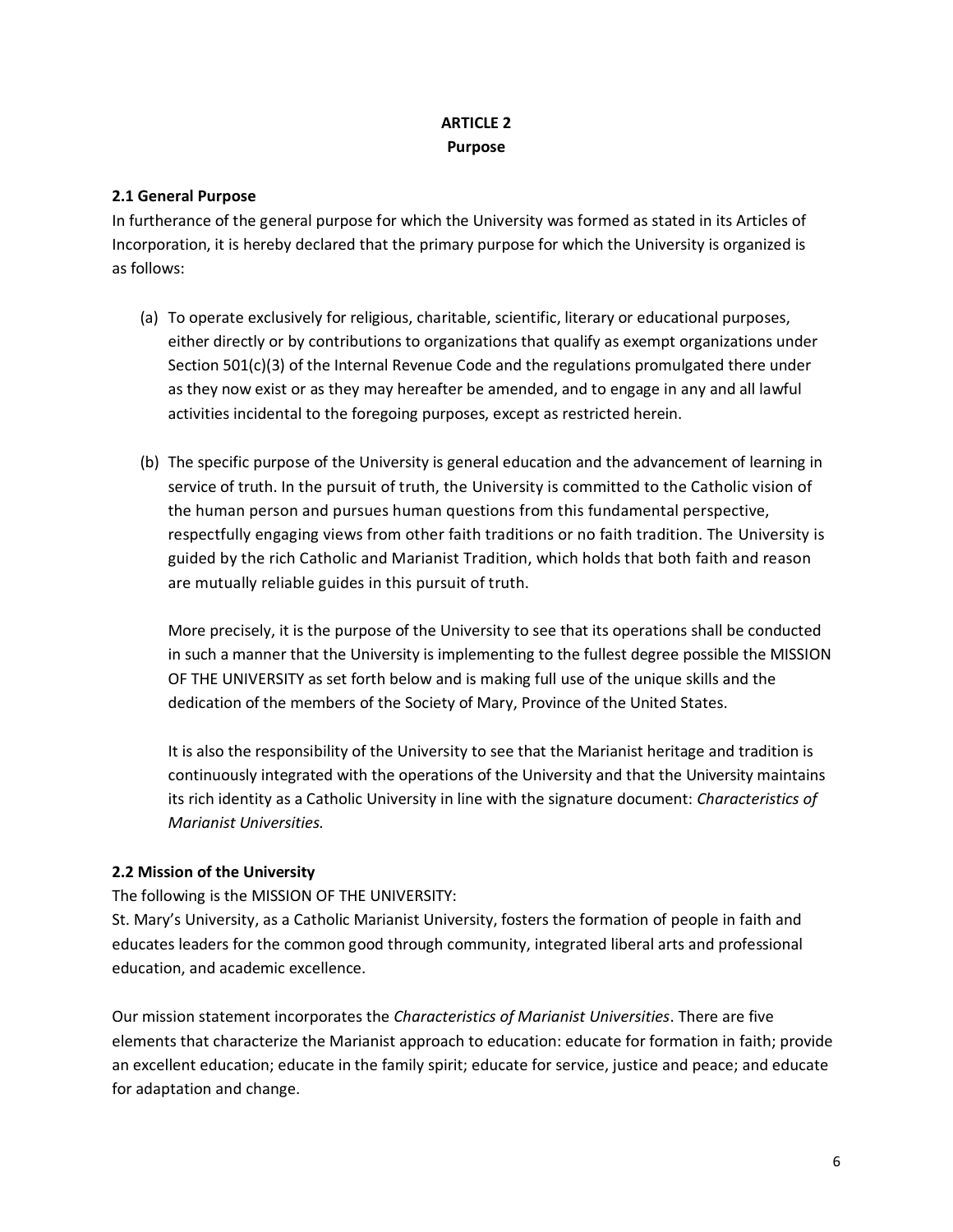# **ARTICLE 2 Purpose**

# **2.1 General Purpose**

In furtherance of the general purpose for which the University was formed as stated in its Articles of Incorporation, it is hereby declared that the primary purpose for which the University is organized is as follows:

- (a) To operate exclusively for religious, charitable, scientific, literary or educational purposes, either directly or by contributions to organizations that qualify as exempt organizations under Section 501(c)(3) of the Internal Revenue Code and the regulations promulgated there under as they now exist or as they may hereafter be amended, and to engage in any and all lawful activities incidental to the foregoing purposes, except as restricted herein.
- (b) The specific purpose of the University is general education and the advancement of learning in service of truth. In the pursuit of truth, the University is committed to the Catholic vision of the human person and pursues human questions from this fundamental perspective, respectfully engaging views from other faith traditions or no faith tradition. The University is guided by the rich Catholic and Marianist Tradition, which holds that both faith and reason are mutually reliable guides in this pursuit of truth.

More precisely, it is the purpose of the University to see that its operations shall be conducted in such a manner that the University is implementing to the fullest degree possible the MISSION OF THE UNIVERSITY as set forth below and is making full use of the unique skills and the dedication of the members of the Society of Mary, Province of the United States.

It is also the responsibility of the University to see that the Marianist heritage and tradition is continuously integrated with the operations of the University and that the University maintains its rich identity as a Catholic University in line with the signature document: *Characteristics of Marianist Universities.*

# **2.2 Mission of the University**

The following is the MISSION OF THE UNIVERSITY:

St. Mary's University, as a Catholic Marianist University, fosters the formation of people in faith and educates leaders for the common good through community, integrated liberal arts and professional education, and academic excellence.

Our mission statement incorporates the *Characteristics of Marianist Universities*. There are five elements that characterize the Marianist approach to education: educate for formation in faith; provide an excellent education; educate in the family spirit; educate for service, justice and peace; and educate for adaptation and change.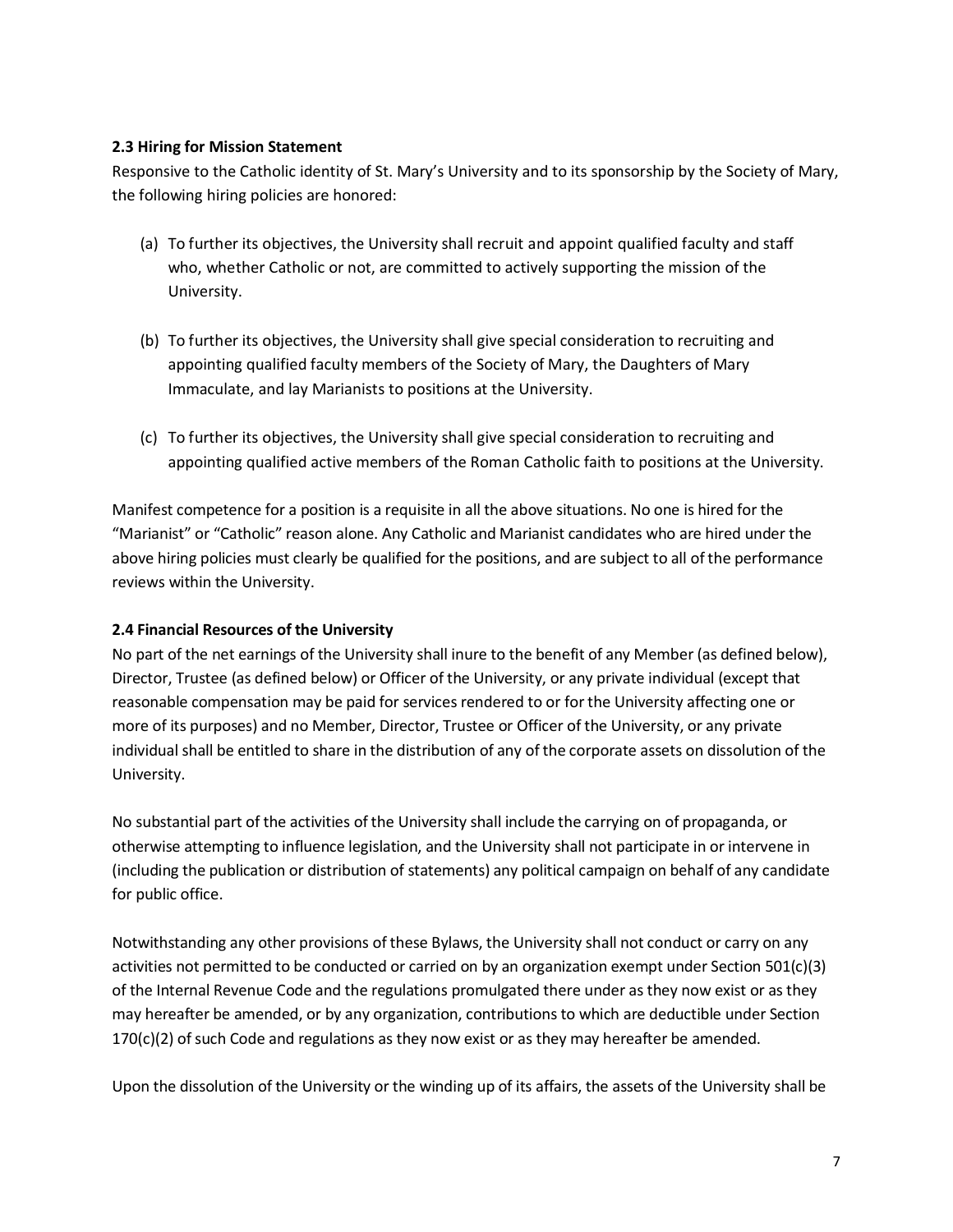#### **2.3 Hiring for Mission Statement**

Responsive to the Catholic identity of St. Mary's University and to its sponsorship by the Society of Mary, the following hiring policies are honored:

- (a) To further its objectives, the University shall recruit and appoint qualified faculty and staff who, whether Catholic or not, are committed to actively supporting the mission of the University.
- (b) To further its objectives, the University shall give special consideration to recruiting and appointing qualified faculty members of the Society of Mary, the Daughters of Mary Immaculate, and lay Marianists to positions at the University.
- (c) To further its objectives, the University shall give special consideration to recruiting and appointing qualified active members of the Roman Catholic faith to positions at the University.

Manifest competence for a position is a requisite in all the above situations. No one is hired for the "Marianist" or "Catholic" reason alone. Any Catholic and Marianist candidates who are hired under the above hiring policies must clearly be qualified for the positions, and are subject to all of the performance reviews within the University.

# **2.4 Financial Resources of the University**

No part of the net earnings of the University shall inure to the benefit of any Member (as defined below), Director, Trustee (as defined below) or Officer of the University, or any private individual (except that reasonable compensation may be paid for services rendered to or for the University affecting one or more of its purposes) and no Member, Director, Trustee or Officer of the University, or any private individual shall be entitled to share in the distribution of any of the corporate assets on dissolution of the University.

No substantial part of the activities of the University shall include the carrying on of propaganda, or otherwise attempting to influence legislation, and the University shall not participate in or intervene in (including the publication or distribution of statements) any political campaign on behalf of any candidate for public office.

Notwithstanding any other provisions of these Bylaws, the University shall not conduct or carry on any activities not permitted to be conducted or carried on by an organization exempt under Section 501(c)(3) of the Internal Revenue Code and the regulations promulgated there under as they now exist or as they may hereafter be amended, or by any organization, contributions to which are deductible under Section  $170(c)(2)$  of such Code and regulations as they now exist or as they may hereafter be amended.

Upon the dissolution of the University or the winding up of its affairs, the assets of the University shall be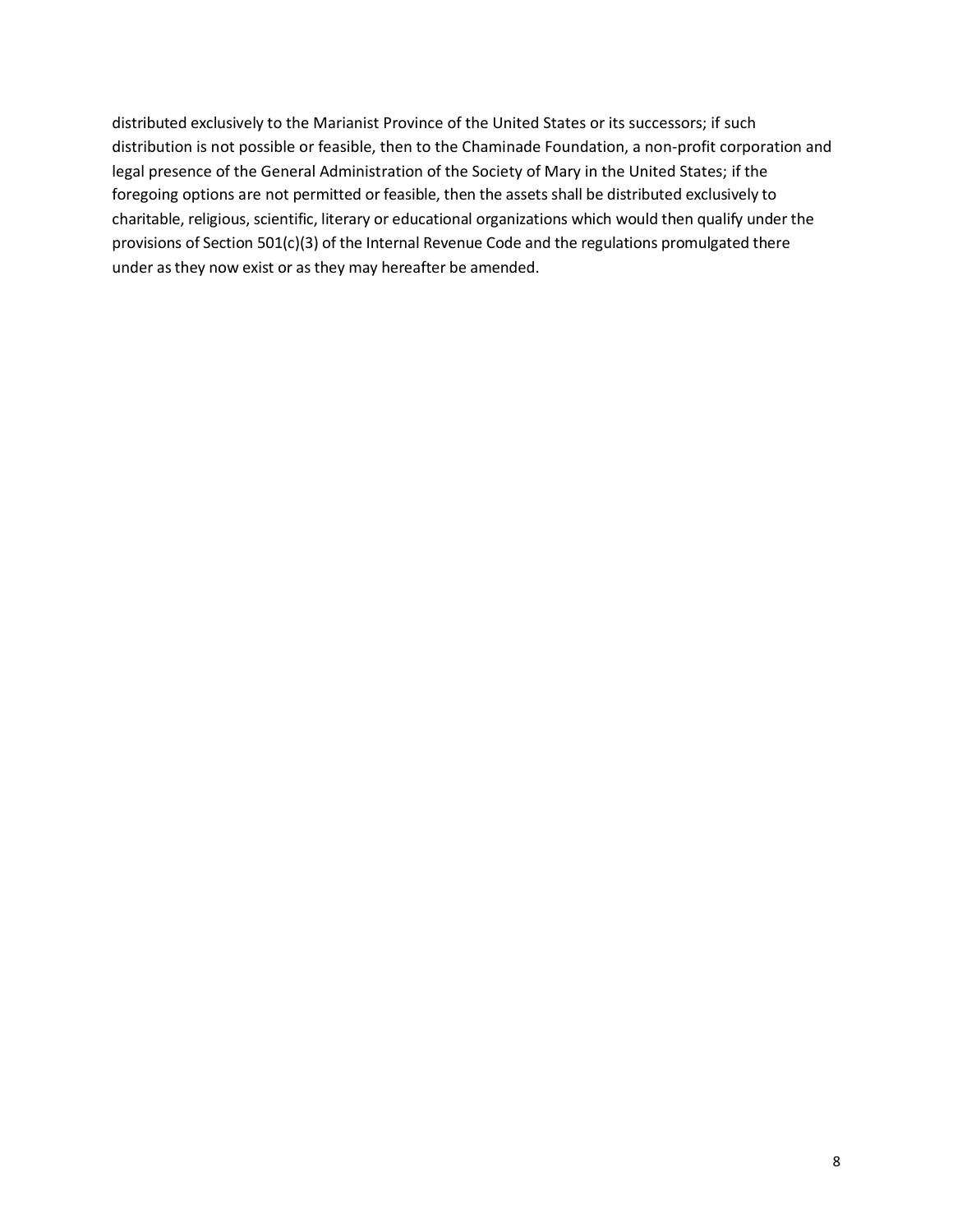distributed exclusively to the Marianist Province of the United States or its successors; if such distribution is not possible or feasible, then to the Chaminade Foundation, a non-profit corporation and legal presence of the General Administration of the Society of Mary in the United States; if the foregoing options are not permitted or feasible, then the assets shall be distributed exclusively to charitable, religious, scientific, literary or educational organizations which would then qualify under the provisions of Section 501(c)(3) of the Internal Revenue Code and the regulations promulgated there under as they now exist or as they may hereafter be amended.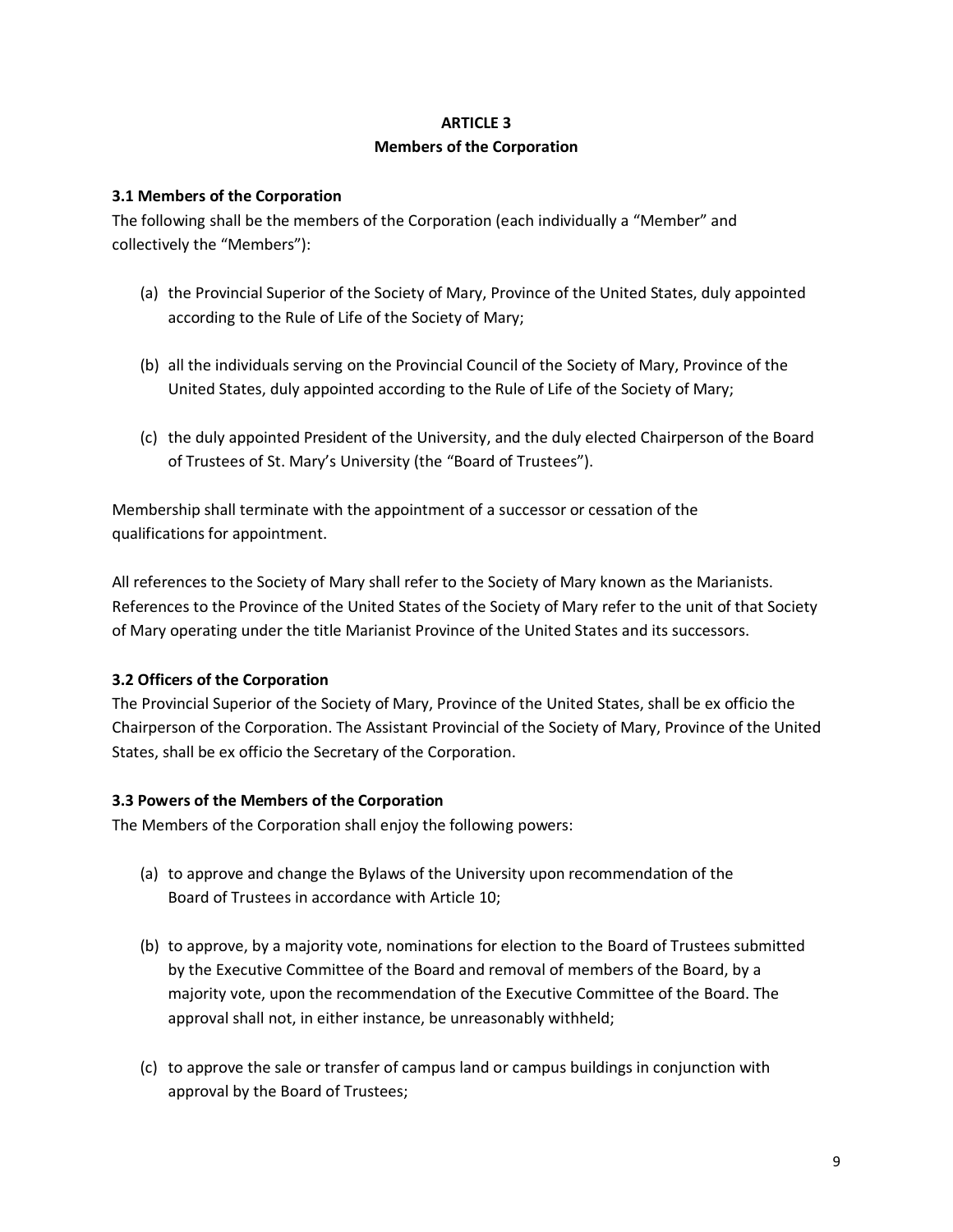# **ARTICLE 3 Members of the Corporation**

# **3.1 Members of the Corporation**

The following shall be the members of the Corporation (each individually a "Member" and collectively the "Members"):

- (a) the Provincial Superior of the Society of Mary, Province of the United States, duly appointed according to the Rule of Life of the Society of Mary;
- (b) all the individuals serving on the Provincial Council of the Society of Mary, Province of the United States, duly appointed according to the Rule of Life of the Society of Mary;
- (c) the duly appointed President of the University, and the duly elected Chairperson of the Board of Trustees of St. Mary's University (the "Board of Trustees").

Membership shall terminate with the appointment of a successor or cessation of the qualifications for appointment.

All references to the Society of Mary shall refer to the Society of Mary known as the Marianists. References to the Province of the United States of the Society of Mary refer to the unit of that Society of Mary operating under the title Marianist Province of the United States and its successors.

# **3.2 Officers of the Corporation**

The Provincial Superior of the Society of Mary, Province of the United States, shall be ex officio the Chairperson of the Corporation. The Assistant Provincial of the Society of Mary, Province of the United States, shall be ex officio the Secretary of the Corporation.

#### **3.3 Powers of the Members of the Corporation**

The Members of the Corporation shall enjoy the following powers:

- (a) to approve and change the Bylaws of the University upon recommendation of the Board of Trustees in accordance with Article 10;
- (b) to approve, by a majority vote, nominations for election to the Board of Trustees submitted by the Executive Committee of the Board and removal of members of the Board, by a majority vote, upon the recommendation of the Executive Committee of the Board. The approval shall not, in either instance, be unreasonably withheld;
- (c) to approve the sale or transfer of campus land or campus buildings in conjunction with approval by the Board of Trustees;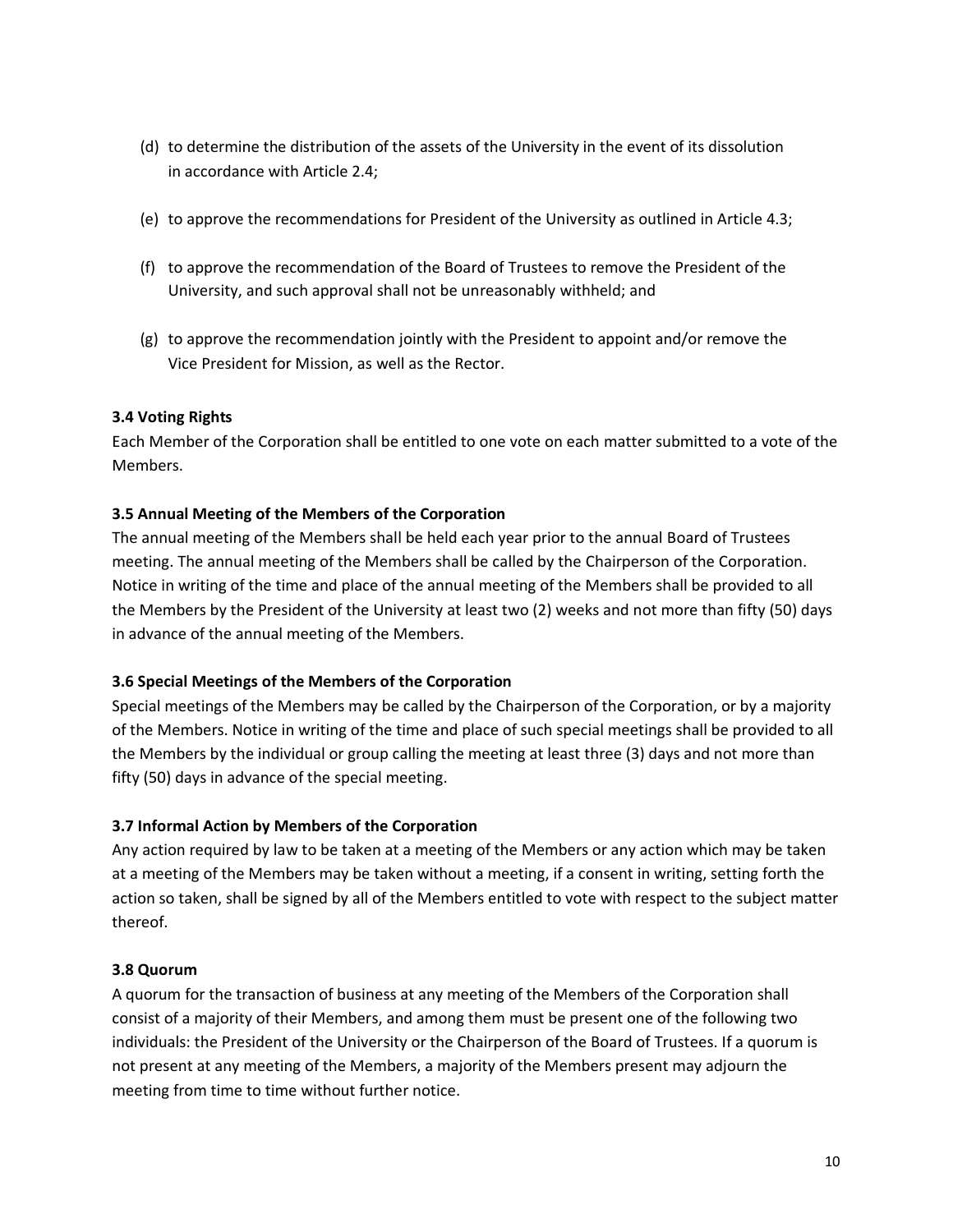- (d) to determine the distribution of the assets of the University in the event of its dissolution in accordance with Article 2.4;
- (e) to approve the recommendations for President of the University as outlined in Article 4.3;
- (f) to approve the recommendation of the Board of Trustees to remove the President of the University, and such approval shall not be unreasonably withheld; and
- (g) to approve the recommendation jointly with the President to appoint and/or remove the Vice President for Mission, as well as the Rector.

# **3.4 Voting Rights**

Each Member of the Corporation shall be entitled to one vote on each matter submitted to a vote of the Members.

# **3.5 Annual Meeting of the Members of the Corporation**

The annual meeting of the Members shall be held each year prior to the annual Board of Trustees meeting. The annual meeting of the Members shall be called by the Chairperson of the Corporation. Notice in writing of the time and place of the annual meeting of the Members shall be provided to all the Members by the President of the University at least two (2) weeks and not more than fifty (50) days in advance of the annual meeting of the Members.

# **3.6 Special Meetings of the Members of the Corporation**

Special meetings of the Members may be called by the Chairperson of the Corporation, or by a majority of the Members. Notice in writing of the time and place of such special meetings shall be provided to all the Members by the individual or group calling the meeting at least three (3) days and not more than fifty (50) days in advance of the special meeting.

# **3.7 Informal Action by Members of the Corporation**

Any action required by law to be taken at a meeting of the Members or any action which may be taken at a meeting of the Members may be taken without a meeting, if a consent in writing, setting forth the action so taken, shall be signed by all of the Members entitled to vote with respect to the subject matter thereof.

# **3.8 Quorum**

A quorum for the transaction of business at any meeting of the Members of the Corporation shall consist of a majority of their Members, and among them must be present one of the following two individuals: the President of the University or the Chairperson of the Board of Trustees. If a quorum is not present at any meeting of the Members, a majority of the Members present may adjourn the meeting from time to time without further notice.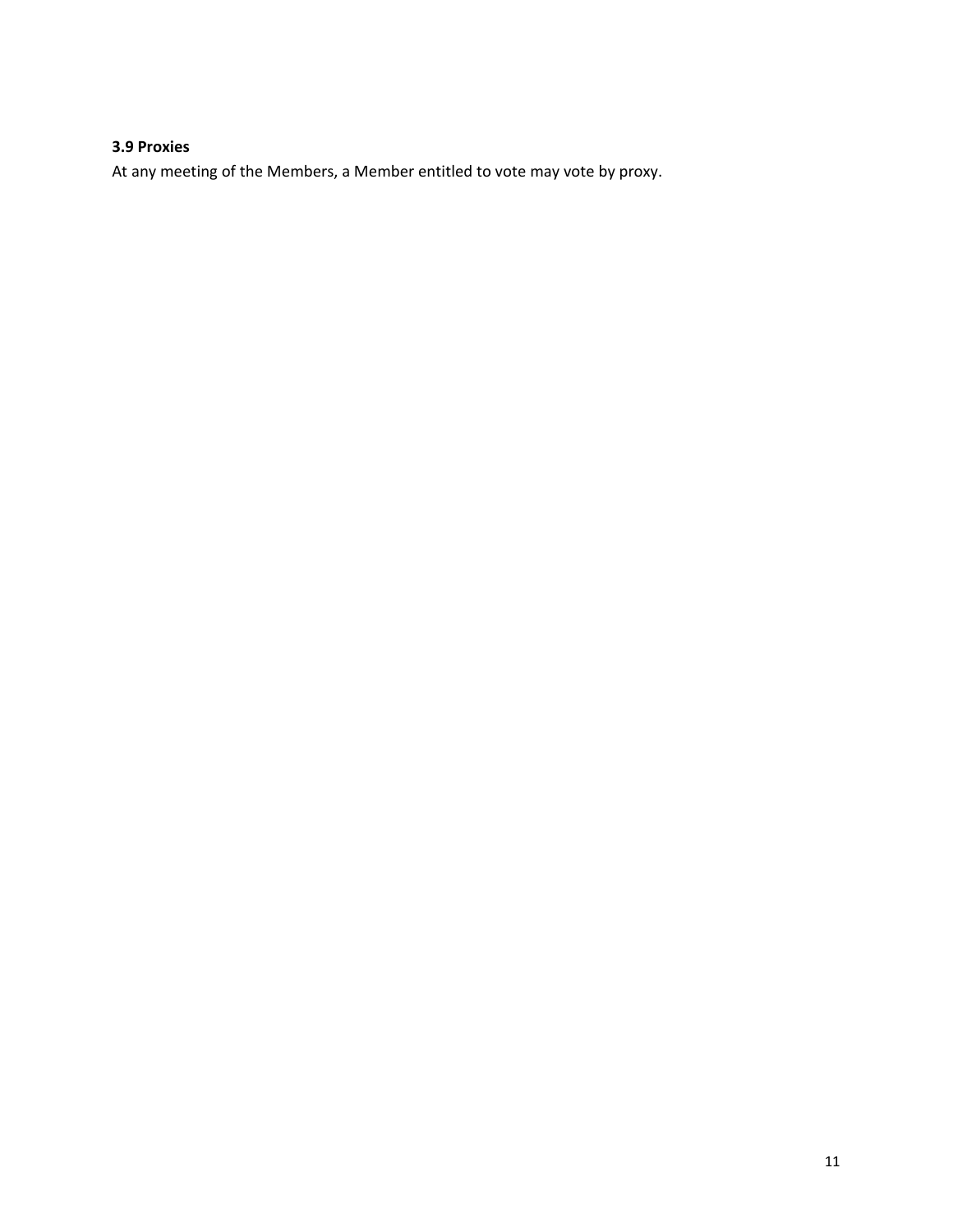# **3.9 Proxies**

At any meeting of the Members, a Member entitled to vote may vote by proxy.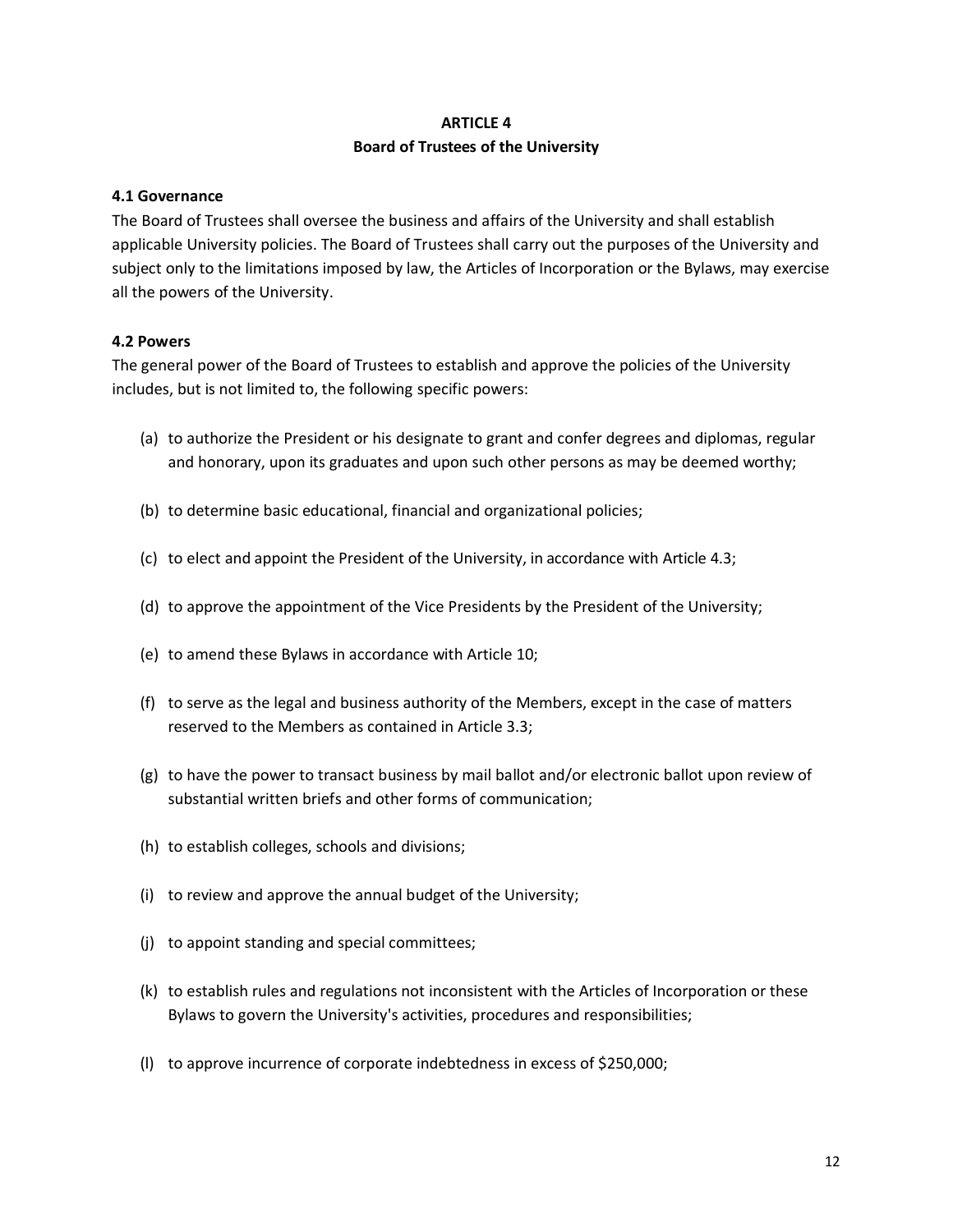#### **ARTICLE 4**

#### **Board of Trustees of the University**

#### **4.1 Governance**

The Board of Trustees shall oversee the business and affairs of the University and shall establish applicable University policies. The Board of Trustees shall carry out the purposes of the University and subject only to the limitations imposed by law, the Articles of Incorporation or the Bylaws, may exercise all the powers of the University.

#### **4.2 Powers**

The general power of the Board of Trustees to establish and approve the policies of the University includes, but is not limited to, the following specific powers:

- (a) to authorize the President or his designate to grant and confer degrees and diplomas, regular and honorary, upon its graduates and upon such other persons as may be deemed worthy;
- (b) to determine basic educational, financial and organizational policies;
- (c) to elect and appoint the President of the University, in accordance with Article 4.3;
- (d) to approve the appointment of the Vice Presidents by the President of the University;
- (e) to amend these Bylaws in accordance with Article 10;
- (f) to serve as the legal and business authority of the Members, except in the case of matters reserved to the Members as contained in Article 3.3;
- (g) to have the power to transact business by mail ballot and/or electronic ballot upon review of substantial written briefs and other forms of communication;
- (h) to establish colleges, schools and divisions;
- (i) to review and approve the annual budget of the University;
- (j) to appoint standing and special committees;
- (k) to establish rules and regulations not inconsistent with the Articles of Incorporation or these Bylaws to govern the University's activities, procedures and responsibilities;
- (l) to approve incurrence of corporate indebtedness in excess of \$250,000;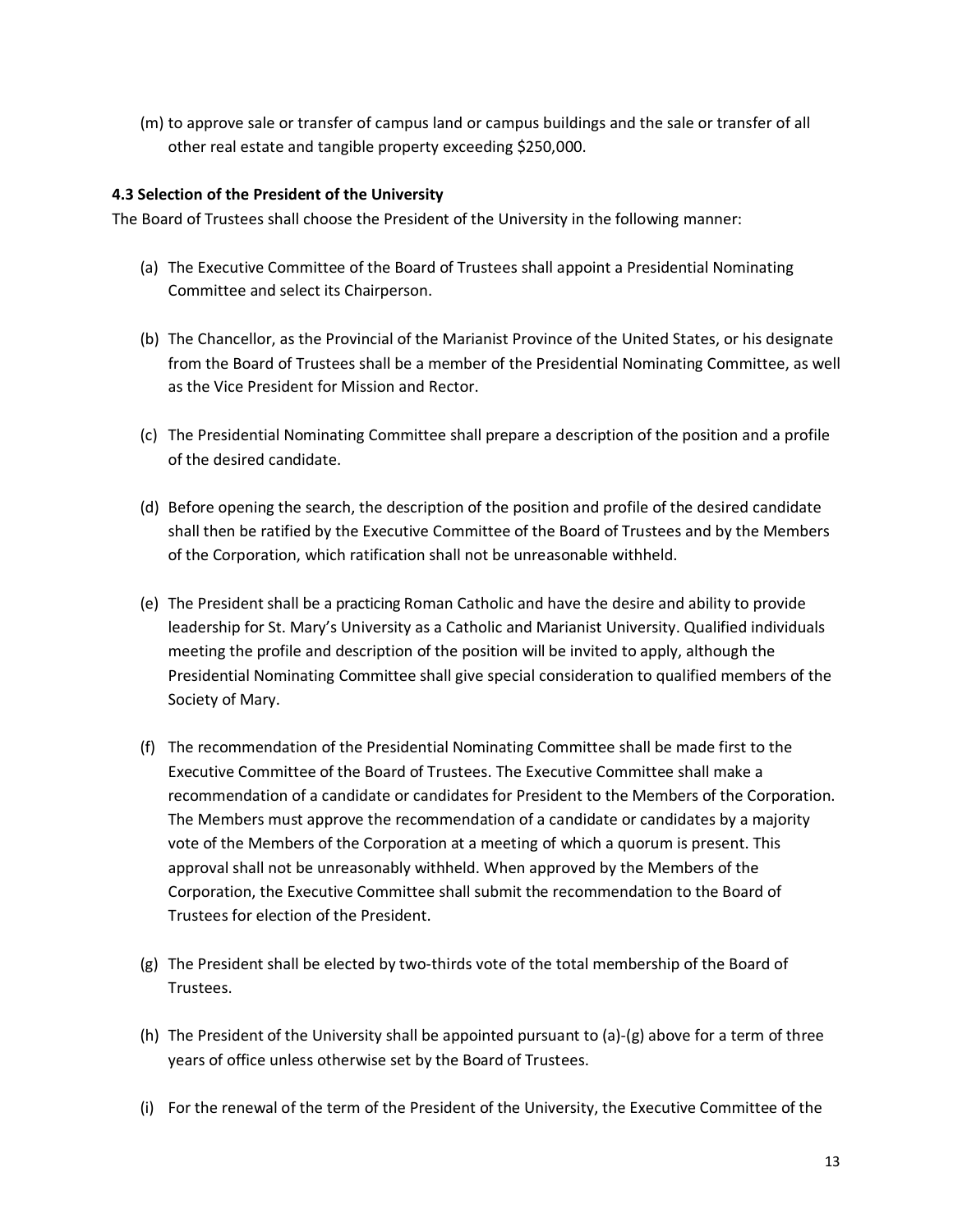(m) to approve sale or transfer of campus land or campus buildings and the sale or transfer of all other real estate and tangible property exceeding \$250,000.

# **4.3 Selection of the President of the University**

The Board of Trustees shall choose the President of the University in the following manner:

- (a) The Executive Committee of the Board of Trustees shall appoint a Presidential Nominating Committee and select its Chairperson.
- (b) The Chancellor, as the Provincial of the Marianist Province of the United States, or his designate from the Board of Trustees shall be a member of the Presidential Nominating Committee, as well as the Vice President for Mission and Rector.
- (c) The Presidential Nominating Committee shall prepare a description of the position and a profile of the desired candidate.
- (d) Before opening the search, the description of the position and profile of the desired candidate shall then be ratified by the Executive Committee of the Board of Trustees and by the Members of the Corporation, which ratification shall not be unreasonable withheld.
- (e) The President shall be a practicing Roman Catholic and have the desire and ability to provide leadership for St. Mary's University as a Catholic and Marianist University. Qualified individuals meeting the profile and description of the position will be invited to apply, although the Presidential Nominating Committee shall give special consideration to qualified members of the Society of Mary.
- (f) The recommendation of the Presidential Nominating Committee shall be made first to the Executive Committee of the Board of Trustees. The Executive Committee shall make a recommendation of a candidate or candidates for President to the Members of the Corporation. The Members must approve the recommendation of a candidate or candidates by a majority vote of the Members of the Corporation at a meeting of which a quorum is present. This approval shall not be unreasonably withheld. When approved by the Members of the Corporation, the Executive Committee shall submit the recommendation to the Board of Trustees for election of the President.
- (g) The President shall be elected by two-thirds vote of the total membership of the Board of Trustees.
- (h) The President of the University shall be appointed pursuant to (a)-(g) above for a term of three years of office unless otherwise set by the Board of Trustees.
- (i) For the renewal of the term of the President of the University, the Executive Committee of the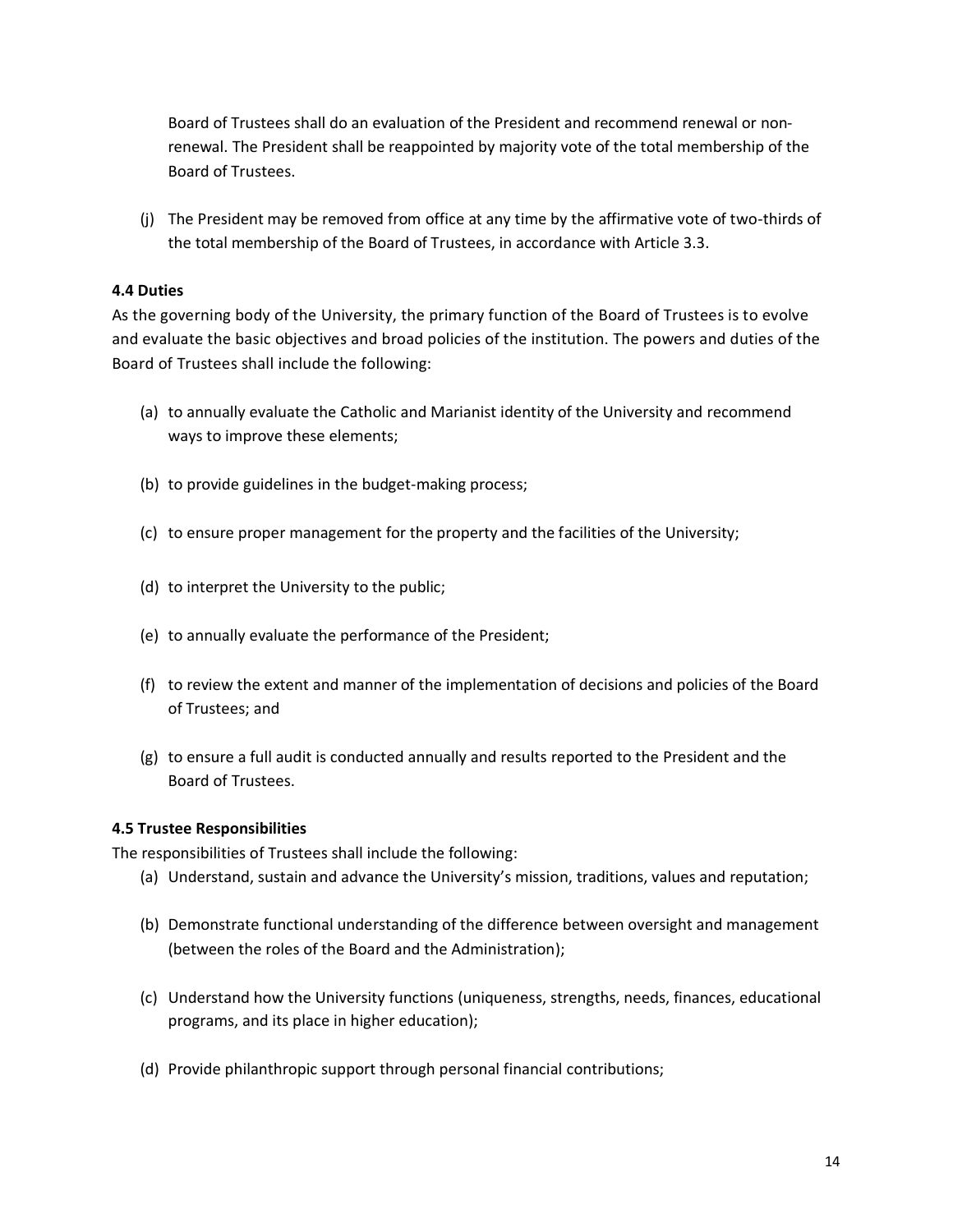Board of Trustees shall do an evaluation of the President and recommend renewal or nonrenewal. The President shall be reappointed by majority vote of the total membership of the Board of Trustees.

(j) The President may be removed from office at any time by the affirmative vote of two-thirds of the total membership of the Board of Trustees, in accordance with Article 3.3.

# **4.4 Duties**

As the governing body of the University, the primary function of the Board of Trustees is to evolve and evaluate the basic objectives and broad policies of the institution. The powers and duties of the Board of Trustees shall include the following:

- (a) to annually evaluate the Catholic and Marianist identity of the University and recommend ways to improve these elements;
- (b) to provide guidelines in the budget-making process;
- (c) to ensure proper management for the property and the facilities of the University;
- (d) to interpret the University to the public;
- (e) to annually evaluate the performance of the President;
- (f) to review the extent and manner of the implementation of decisions and policies of the Board of Trustees; and
- (g) to ensure a full audit is conducted annually and results reported to the President and the Board of Trustees.

#### **4.5 Trustee Responsibilities**

The responsibilities of Trustees shall include the following:

- (a) Understand, sustain and advance the University's mission, traditions, values and reputation;
- (b) Demonstrate functional understanding of the difference between oversight and management (between the roles of the Board and the Administration);
- (c) Understand how the University functions (uniqueness, strengths, needs, finances, educational programs, and its place in higher education);
- (d) Provide philanthropic support through personal financial contributions;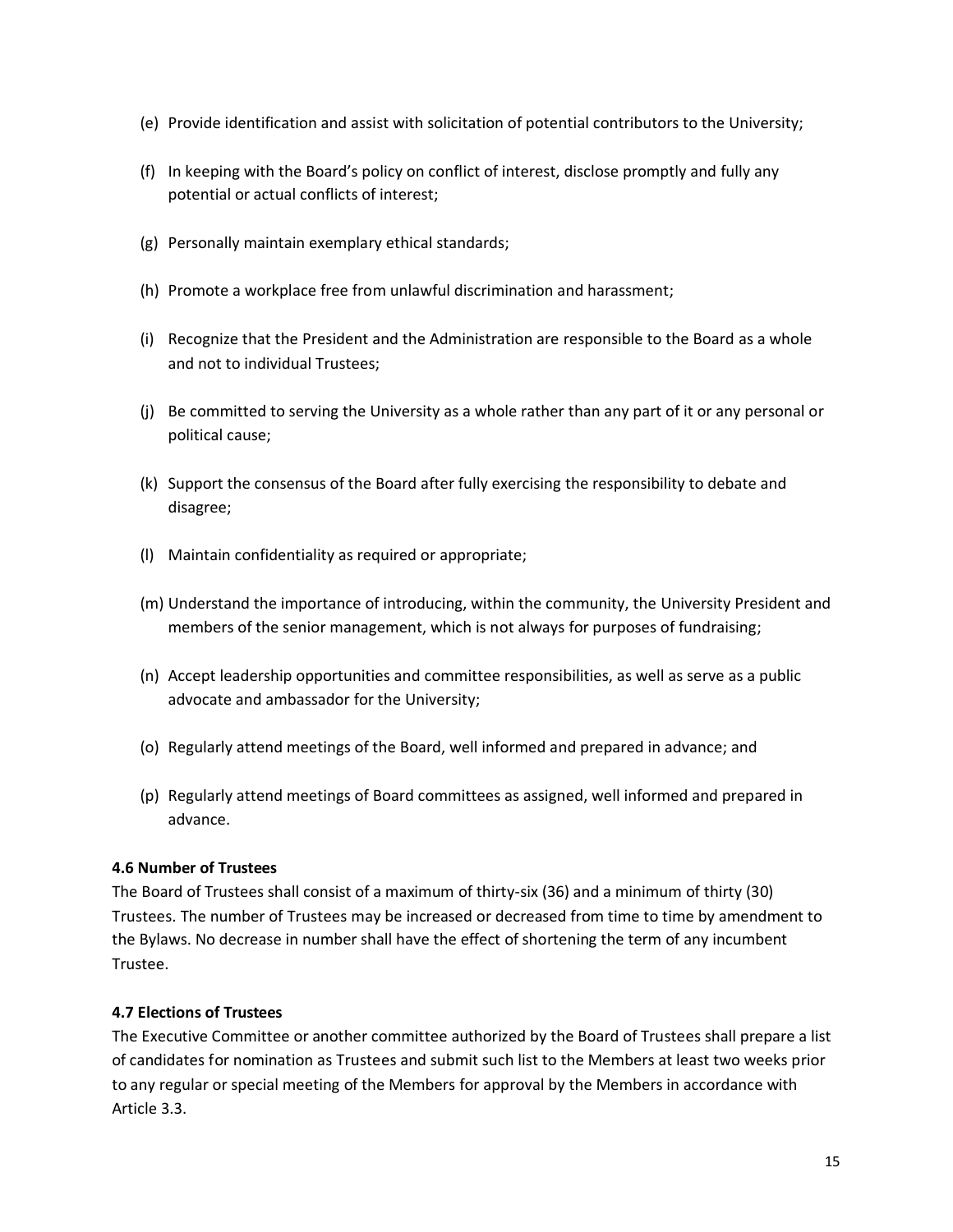- (e) Provide identification and assist with solicitation of potential contributors to the University;
- (f) In keeping with the Board's policy on conflict of interest, disclose promptly and fully any potential or actual conflicts of interest;
- (g) Personally maintain exemplary ethical standards;
- (h) Promote a workplace free from unlawful discrimination and harassment;
- (i) Recognize that the President and the Administration are responsible to the Board as a whole and not to individual Trustees;
- (j) Be committed to serving the University as a whole rather than any part of it or any personal or political cause;
- (k) Support the consensus of the Board after fully exercising the responsibility to debate and disagree;
- (l) Maintain confidentiality as required or appropriate;
- (m) Understand the importance of introducing, within the community, the University President and members of the senior management, which is not always for purposes of fundraising;
- (n) Accept leadership opportunities and committee responsibilities, as well as serve as a public advocate and ambassador for the University;
- (o) Regularly attend meetings of the Board, well informed and prepared in advance; and
- (p) Regularly attend meetings of Board committees as assigned, well informed and prepared in advance.

# **4.6 Number of Trustees**

The Board of Trustees shall consist of a maximum of thirty-six (36) and a minimum of thirty (30) Trustees. The number of Trustees may be increased or decreased from time to time by amendment to the Bylaws. No decrease in number shall have the effect of shortening the term of any incumbent Trustee.

# **4.7 Elections of Trustees**

The Executive Committee or another committee authorized by the Board of Trustees shall prepare a list of candidates for nomination as Trustees and submit such list to the Members at least two weeks prior to any regular or special meeting of the Members for approval by the Members in accordance with Article 3.3.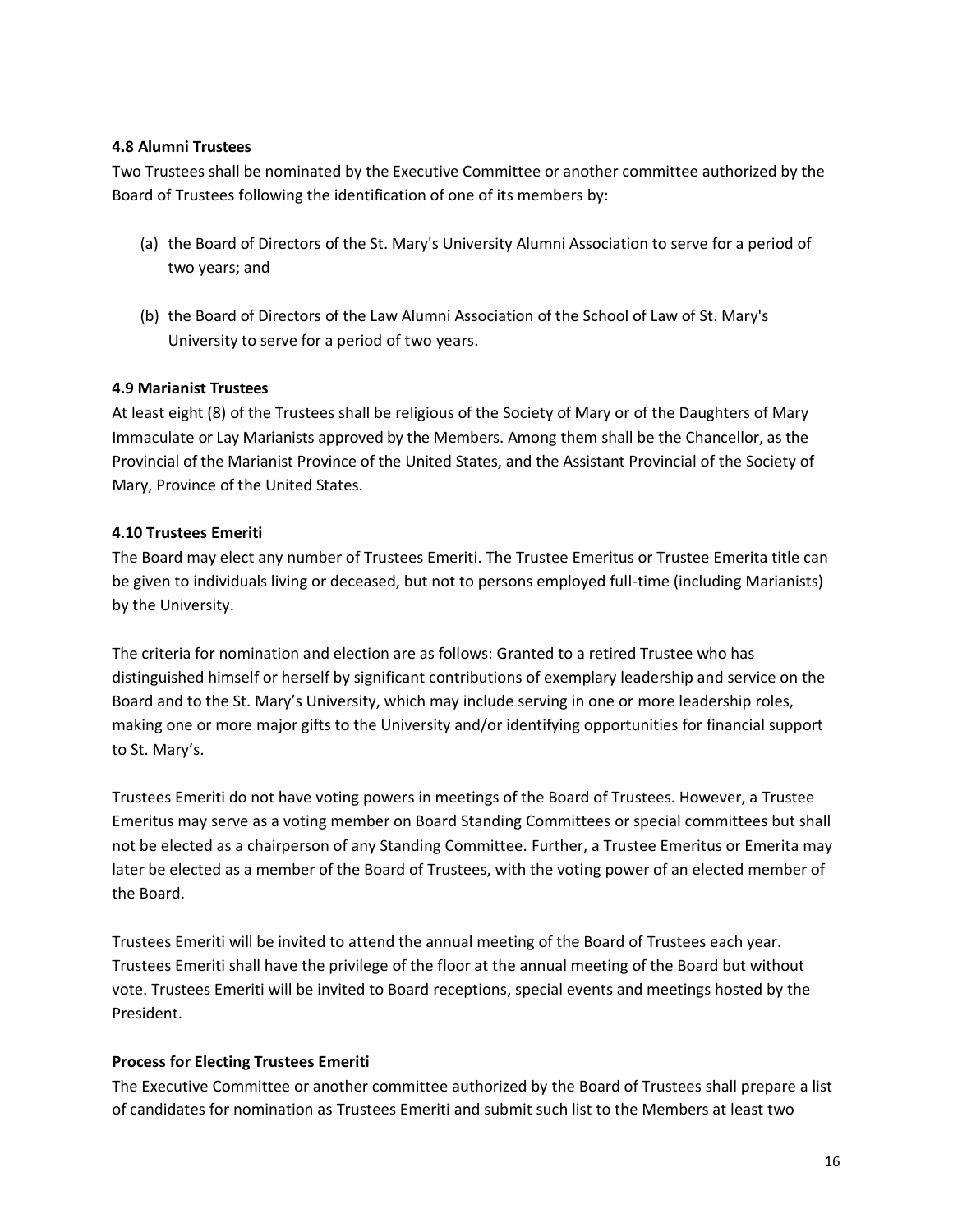#### **4.8 Alumni Trustees**

Two Trustees shall be nominated by the Executive Committee or another committee authorized by the Board of Trustees following the identification of one of its members by:

- (a) the Board of Directors of the St. Mary's University Alumni Association to serve for a period of two years; and
- (b) the Board of Directors of the Law Alumni Association of the School of Law of St. Mary's University to serve for a period of two years.

# **4.9 Marianist Trustees**

At least eight (8) of the Trustees shall be religious of the Society of Mary or of the Daughters of Mary Immaculate or Lay Marianists approved by the Members. Among them shall be the Chancellor, as the Provincial of the Marianist Province of the United States, and the Assistant Provincial of the Society of Mary, Province of the United States.

# **4.10 Trustees Emeriti**

The Board may elect any number of Trustees Emeriti. The Trustee Emeritus or Trustee Emerita title can be given to individuals living or deceased, but not to persons employed full-time (including Marianists) by the University.

The criteria for nomination and election are as follows: Granted to a retired Trustee who has distinguished himself or herself by significant contributions of exemplary leadership and service on the Board and to the St. Mary's University, which may include serving in one or more leadership roles, making one or more major gifts to the University and/or identifying opportunities for financial support to St. Mary's.

Trustees Emeriti do not have voting powers in meetings of the Board of Trustees. However, a Trustee Emeritus may serve as a voting member on Board Standing Committees or special committees but shall not be elected as a chairperson of any Standing Committee. Further, a Trustee Emeritus or Emerita may later be elected as a member of the Board of Trustees, with the voting power of an elected member of the Board.

Trustees Emeriti will be invited to attend the annual meeting of the Board of Trustees each year. Trustees Emeriti shall have the privilege of the floor at the annual meeting of the Board but without vote. Trustees Emeriti will be invited to Board receptions, special events and meetings hosted by the President.

#### **Process for Electing Trustees Emeriti**

The Executive Committee or another committee authorized by the Board of Trustees shall prepare a list of candidates for nomination as Trustees Emeriti and submit such list to the Members at least two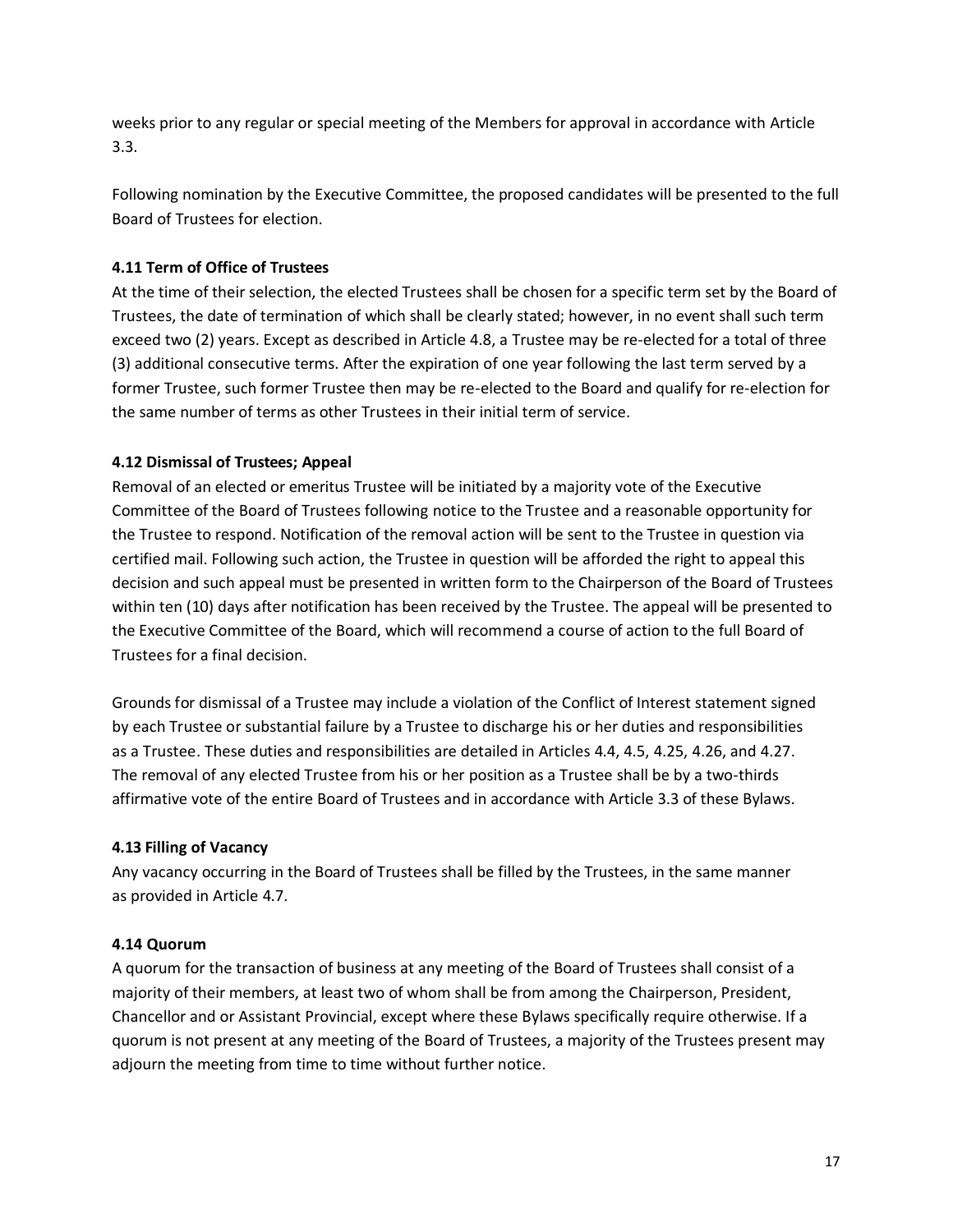weeks prior to any regular or special meeting of the Members for approval in accordance with Article 3.3.

Following nomination by the Executive Committee, the proposed candidates will be presented to the full Board of Trustees for election.

# **4.11 Term of Office of Trustees**

At the time of their selection, the elected Trustees shall be chosen for a specific term set by the Board of Trustees, the date of termination of which shall be clearly stated; however, in no event shall such term exceed two (2) years. Except as described in Article 4.8, a Trustee may be re-elected for a total of three (3) additional consecutive terms. After the expiration of one year following the last term served by a former Trustee, such former Trustee then may be re-elected to the Board and qualify for re-election for the same number of terms as other Trustees in their initial term of service.

# **4.12 Dismissal of Trustees; Appeal**

Removal of an elected or emeritus Trustee will be initiated by a majority vote of the Executive Committee of the Board of Trustees following notice to the Trustee and a reasonable opportunity for the Trustee to respond. Notification of the removal action will be sent to the Trustee in question via certified mail. Following such action, the Trustee in question will be afforded the right to appeal this decision and such appeal must be presented in written form to the Chairperson of the Board of Trustees within ten (10) days after notification has been received by the Trustee. The appeal will be presented to the Executive Committee of the Board, which will recommend a course of action to the full Board of Trustees for a final decision.

Grounds for dismissal of a Trustee may include a violation of the Conflict of Interest statement signed by each Trustee or substantial failure by a Trustee to discharge his or her duties and responsibilities as a Trustee. These duties and responsibilities are detailed in Articles 4.4, 4.5, 4.25, 4.26, and 4.27. The removal of any elected Trustee from his or her position as a Trustee shall be by a two-thirds affirmative vote of the entire Board of Trustees and in accordance with Article 3.3 of these Bylaws.

# **4.13 Filling of Vacancy**

Any vacancy occurring in the Board of Trustees shall be filled by the Trustees, in the same manner as provided in Article 4.7.

# **4.14 Quorum**

A quorum for the transaction of business at any meeting of the Board of Trustees shall consist of a majority of their members, at least two of whom shall be from among the Chairperson, President, Chancellor and or Assistant Provincial, except where these Bylaws specifically require otherwise. If a quorum is not present at any meeting of the Board of Trustees, a majority of the Trustees present may adjourn the meeting from time to time without further notice.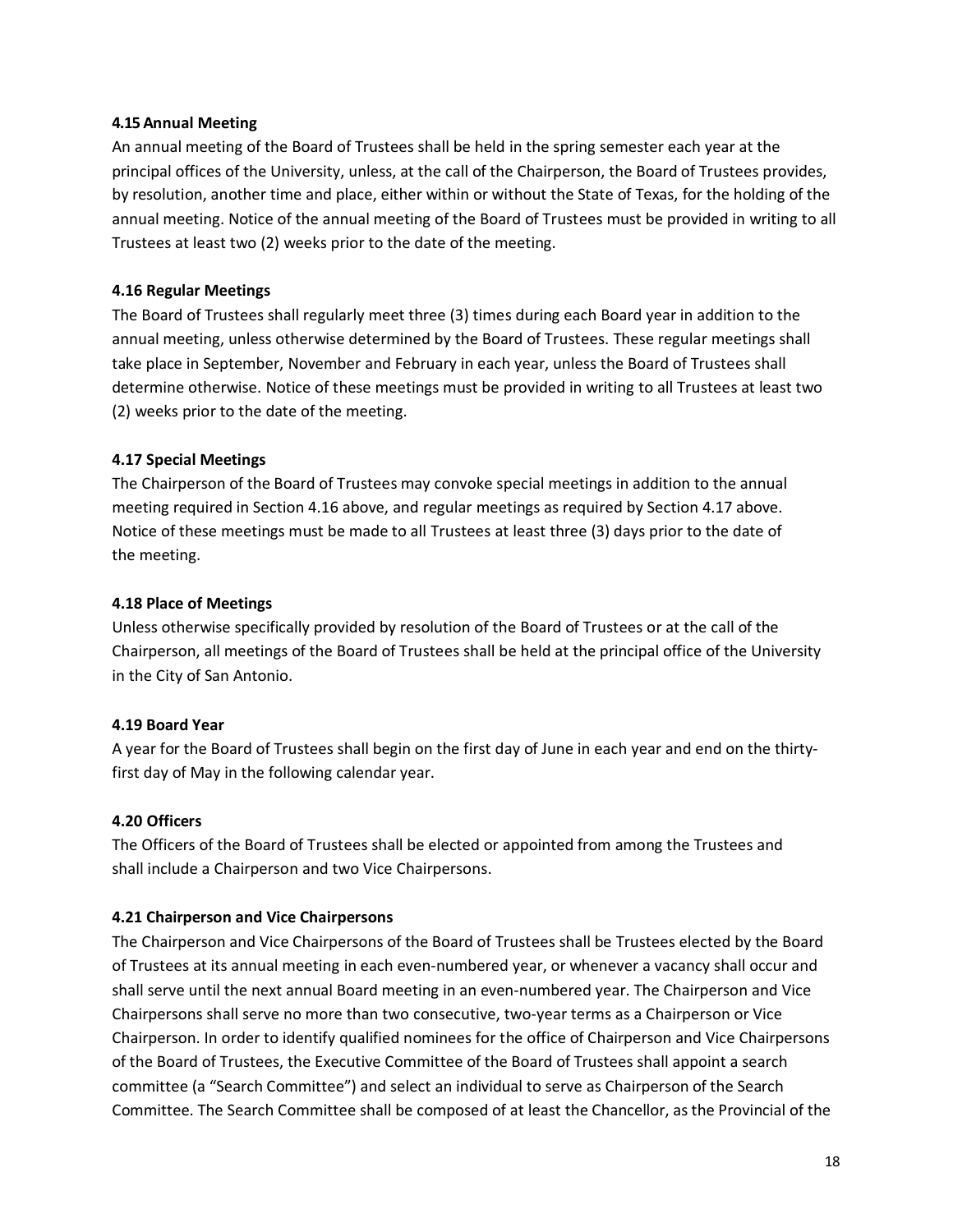#### **4.15 Annual Meeting**

An annual meeting of the Board of Trustees shall be held in the spring semester each year at the principal offices of the University, unless, at the call of the Chairperson, the Board of Trustees provides, by resolution, another time and place, either within or without the State of Texas, for the holding of the annual meeting. Notice of the annual meeting of the Board of Trustees must be provided in writing to all Trustees at least two (2) weeks prior to the date of the meeting.

#### **4.16 Regular Meetings**

The Board of Trustees shall regularly meet three (3) times during each Board year in addition to the annual meeting, unless otherwise determined by the Board of Trustees. These regular meetings shall take place in September, November and February in each year, unless the Board of Trustees shall determine otherwise. Notice of these meetings must be provided in writing to all Trustees at least two (2) weeks prior to the date of the meeting.

#### **4.17 Special Meetings**

The Chairperson of the Board of Trustees may convoke special meetings in addition to the annual meeting required in Section 4.16 above, and regular meetings as required by Section 4.17 above. Notice of these meetings must be made to all Trustees at least three (3) days prior to the date of the meeting.

#### **4.18 Place of Meetings**

Unless otherwise specifically provided by resolution of the Board of Trustees or at the call of the Chairperson, all meetings of the Board of Trustees shall be held at the principal office of the University in the City of San Antonio.

#### **4.19 Board Year**

A year for the Board of Trustees shall begin on the first day of June in each year and end on the thirtyfirst day of May in the following calendar year.

#### **4.20 Officers**

The Officers of the Board of Trustees shall be elected or appointed from among the Trustees and shall include a Chairperson and two Vice Chairpersons.

#### **4.21 Chairperson and Vice Chairpersons**

The Chairperson and Vice Chairpersons of the Board of Trustees shall be Trustees elected by the Board of Trustees at its annual meeting in each even-numbered year, or whenever a vacancy shall occur and shall serve until the next annual Board meeting in an even-numbered year. The Chairperson and Vice Chairpersons shall serve no more than two consecutive, two-year terms as a Chairperson or Vice Chairperson. In order to identify qualified nominees for the office of Chairperson and Vice Chairpersons of the Board of Trustees, the Executive Committee of the Board of Trustees shall appoint a search committee (a "Search Committee") and select an individual to serve as Chairperson of the Search Committee. The Search Committee shall be composed of at least the Chancellor, as the Provincial of the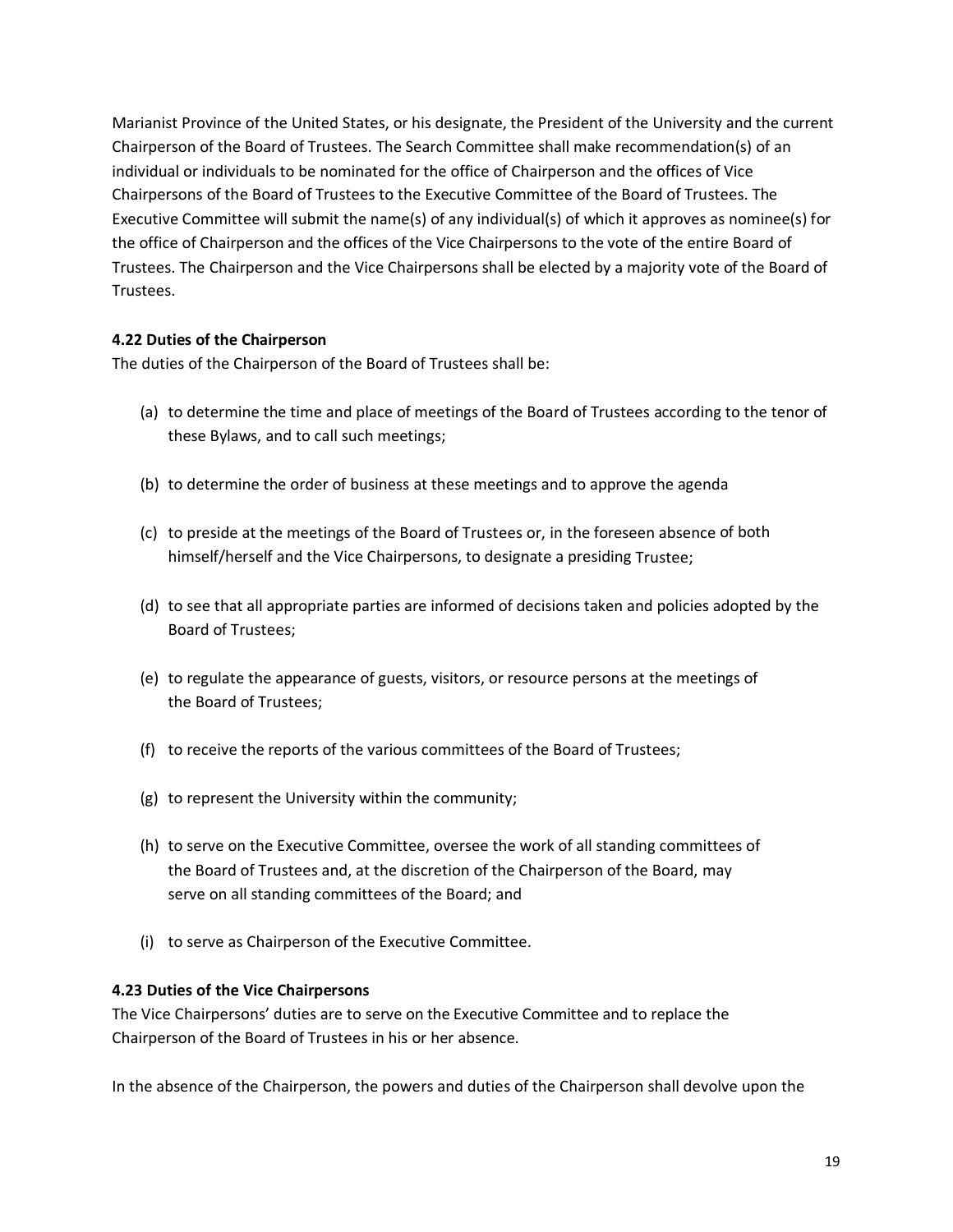Marianist Province of the United States, or his designate, the President of the University and the current Chairperson of the Board of Trustees. The Search Committee shall make recommendation(s) of an individual or individuals to be nominated for the office of Chairperson and the offices of Vice Chairpersons of the Board of Trustees to the Executive Committee of the Board of Trustees. The Executive Committee will submit the name(s) of any individual(s) of which it approves as nominee(s) for the office of Chairperson and the offices of the Vice Chairpersons to the vote of the entire Board of Trustees. The Chairperson and the Vice Chairpersons shall be elected by a majority vote of the Board of Trustees.

#### **4.22 Duties of the Chairperson**

The duties of the Chairperson of the Board of Trustees shall be:

- (a) to determine the time and place of meetings of the Board of Trustees according to the tenor of these Bylaws, and to call such meetings;
- (b) to determine the order of business at these meetings and to approve the agenda
- (c) to preside at the meetings of the Board of Trustees or, in the foreseen absence of both himself/herself and the Vice Chairpersons, to designate a presiding Trustee;
- (d) to see that all appropriate parties are informed of decisions taken and policies adopted by the Board of Trustees;
- (e) to regulate the appearance of guests, visitors, or resource persons at the meetings of the Board of Trustees;
- (f) to receive the reports of the various committees of the Board of Trustees;
- (g) to represent the University within the community;
- (h) to serve on the Executive Committee, oversee the work of all standing committees of the Board of Trustees and, at the discretion of the Chairperson of the Board, may serve on all standing committees of the Board; and
- (i) to serve as Chairperson of the Executive Committee.

#### **4.23 Duties of the Vice Chairpersons**

The Vice Chairpersons' duties are to serve on the Executive Committee and to replace the Chairperson of the Board of Trustees in his or her absence.

In the absence of the Chairperson, the powers and duties of the Chairperson shall devolve upon the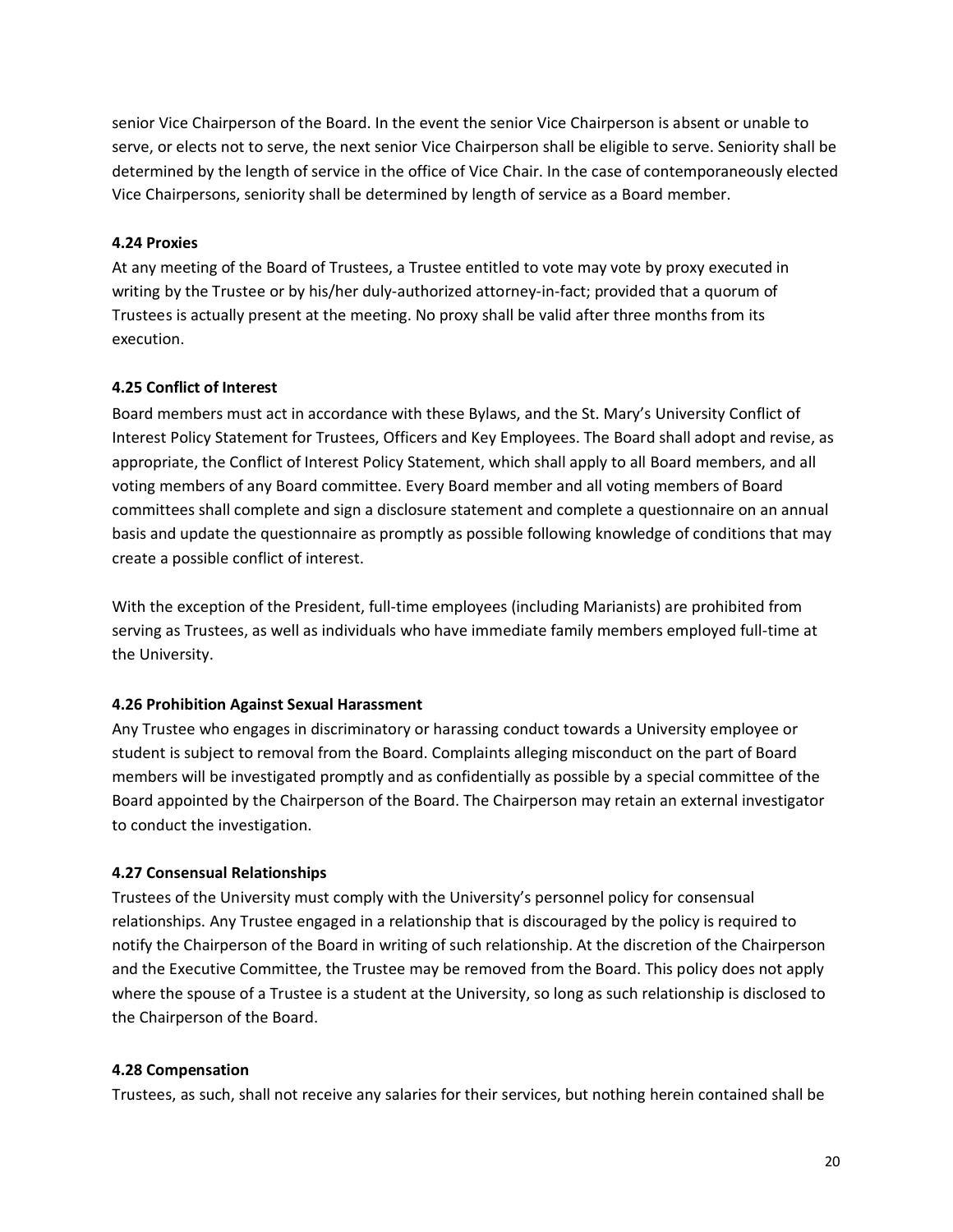senior Vice Chairperson of the Board. In the event the senior Vice Chairperson is absent or unable to serve, or elects not to serve, the next senior Vice Chairperson shall be eligible to serve. Seniority shall be determined by the length of service in the office of Vice Chair. In the case of contemporaneously elected Vice Chairpersons, seniority shall be determined by length of service as a Board member.

#### **4.24 Proxies**

At any meeting of the Board of Trustees, a Trustee entitled to vote may vote by proxy executed in writing by the Trustee or by his/her duly-authorized attorney-in-fact; provided that a quorum of Trustees is actually present at the meeting. No proxy shall be valid after three months from its execution.

# **4.25 Conflict of Interest**

Board members must act in accordance with these Bylaws, and the St. Mary's University Conflict of Interest Policy Statement for Trustees, Officers and Key Employees. The Board shall adopt and revise, as appropriate, the Conflict of Interest Policy Statement, which shall apply to all Board members, and all voting members of any Board committee. Every Board member and all voting members of Board committees shall complete and sign a disclosure statement and complete a questionnaire on an annual basis and update the questionnaire as promptly as possible following knowledge of conditions that may create a possible conflict of interest.

With the exception of the President, full-time employees (including Marianists) are prohibited from serving as Trustees, as well as individuals who have immediate family members employed full-time at the University.

# **4.26 Prohibition Against Sexual Harassment**

Any Trustee who engages in discriminatory or harassing conduct towards a University employee or student is subject to removal from the Board. Complaints alleging misconduct on the part of Board members will be investigated promptly and as confidentially as possible by a special committee of the Board appointed by the Chairperson of the Board. The Chairperson may retain an external investigator to conduct the investigation.

# **4.27 Consensual Relationships**

Trustees of the University must comply with the University's personnel policy for consensual relationships. Any Trustee engaged in a relationship that is discouraged by the policy is required to notify the Chairperson of the Board in writing of such relationship. At the discretion of the Chairperson and the Executive Committee, the Trustee may be removed from the Board. This policy does not apply where the spouse of a Trustee is a student at the University, so long as such relationship is disclosed to the Chairperson of the Board.

#### **4.28 Compensation**

Trustees, as such, shall not receive any salaries for their services, but nothing herein contained shall be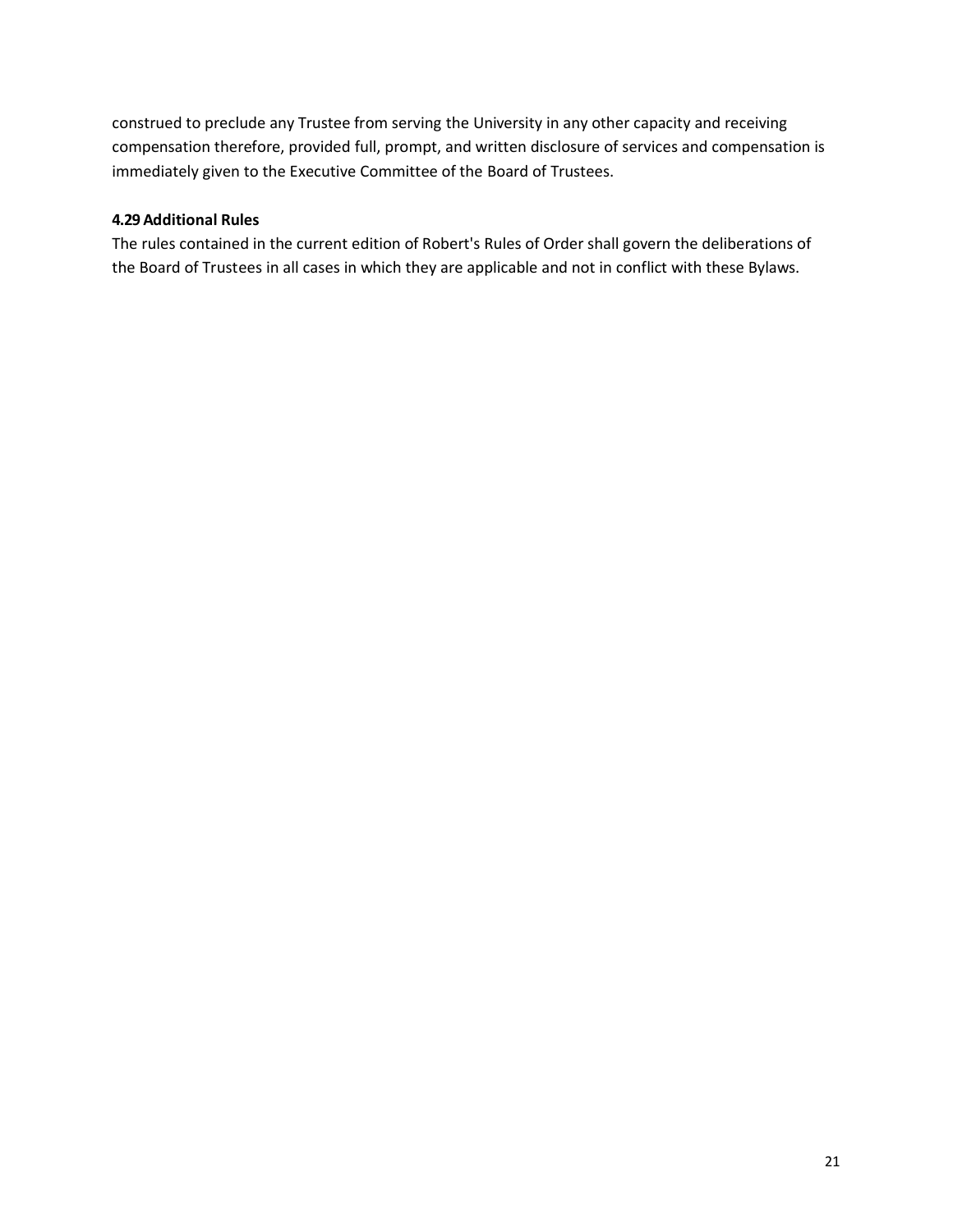construed to preclude any Trustee from serving the University in any other capacity and receiving compensation therefore, provided full, prompt, and written disclosure of services and compensation is immediately given to the Executive Committee of the Board of Trustees.

# **4.29 Additional Rules**

The rules contained in the current edition of Robert's Rules of Order shall govern the deliberations of the Board of Trustees in all cases in which they are applicable and not in conflict with these Bylaws.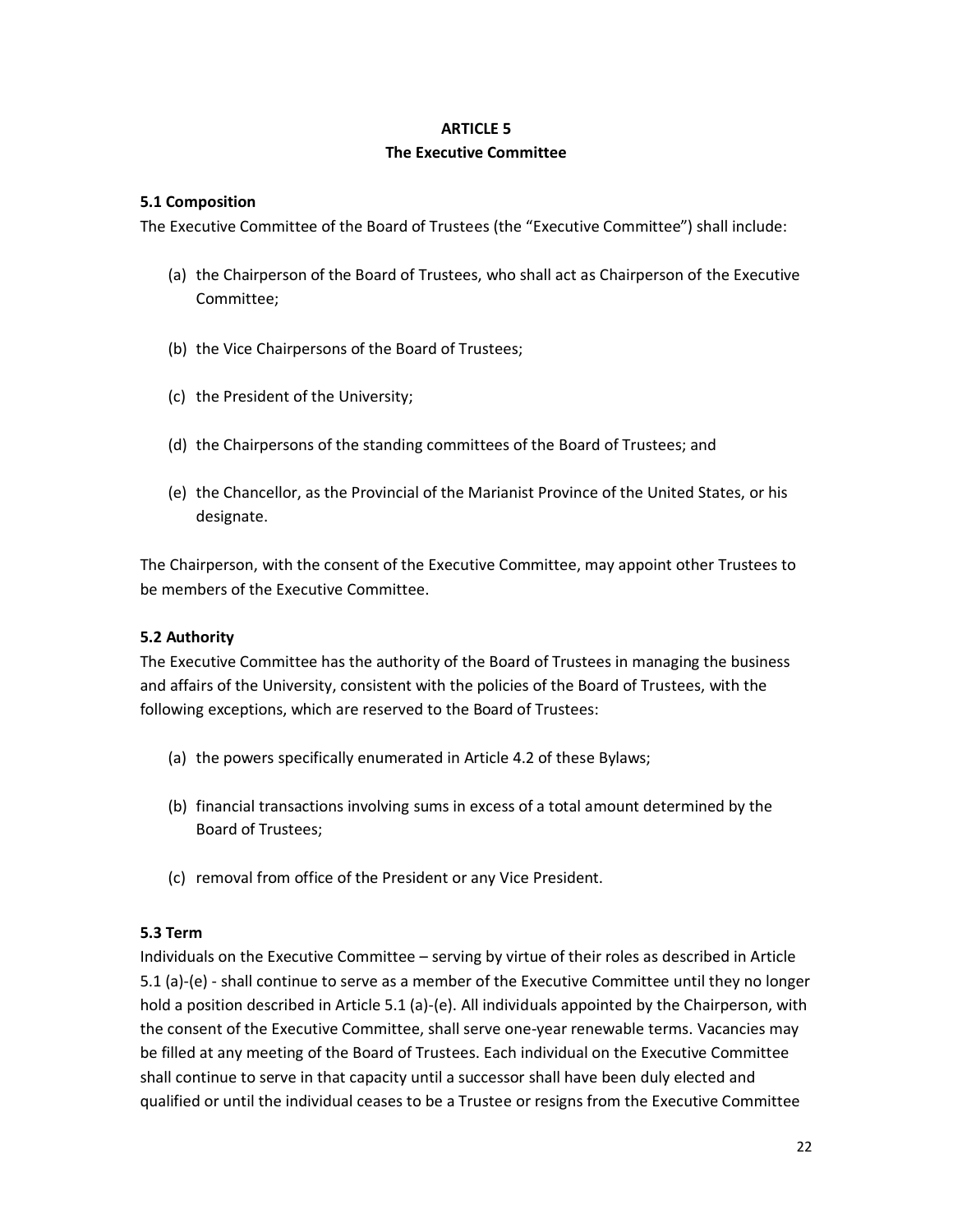#### **ARTICLE 5**

#### **The Executive Committee**

#### **5.1 Composition**

The Executive Committee of the Board of Trustees (the "Executive Committee") shall include:

- (a) the Chairperson of the Board of Trustees, who shall act as Chairperson of the Executive Committee;
- (b) the Vice Chairpersons of the Board of Trustees;
- (c) the President of the University;
- (d) the Chairpersons of the standing committees of the Board of Trustees; and
- (e) the Chancellor, as the Provincial of the Marianist Province of the United States, or his designate.

The Chairperson, with the consent of the Executive Committee, may appoint other Trustees to be members of the Executive Committee.

#### **5.2 Authority**

The Executive Committee has the authority of the Board of Trustees in managing the business and affairs of the University, consistent with the policies of the Board of Trustees, with the following exceptions, which are reserved to the Board of Trustees:

- (a) the powers specifically enumerated in Article 4.2 of these Bylaws;
- (b) financial transactions involving sums in excess of a total amount determined by the Board of Trustees;
- (c) removal from office of the President or any Vice President.

#### **5.3 Term**

Individuals on the Executive Committee – serving by virtue of their roles as described in Article 5.1 (a)-(e) - shall continue to serve as a member of the Executive Committee until they no longer hold a position described in Article 5.1 (a)-(e). All individuals appointed by the Chairperson, with the consent of the Executive Committee, shall serve one-year renewable terms. Vacancies may be filled at any meeting of the Board of Trustees. Each individual on the Executive Committee shall continue to serve in that capacity until a successor shall have been duly elected and qualified or until the individual ceases to be a Trustee or resigns from the Executive Committee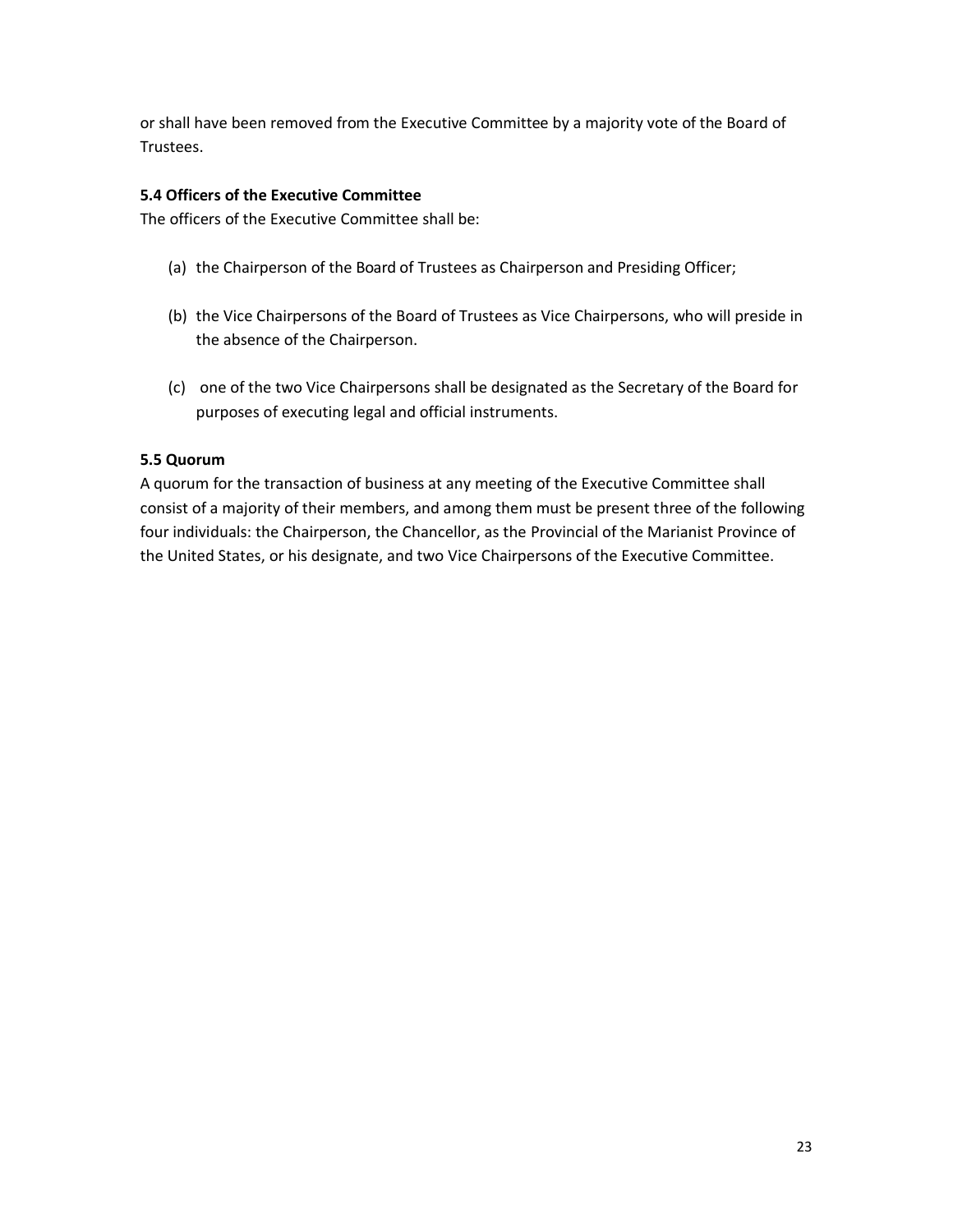or shall have been removed from the Executive Committee by a majority vote of the Board of Trustees.

# **5.4 Officers of the Executive Committee**

The officers of the Executive Committee shall be:

- (a) the Chairperson of the Board of Trustees as Chairperson and Presiding Officer;
- (b) the Vice Chairpersons of the Board of Trustees as Vice Chairpersons, who will preside in the absence of the Chairperson.
- (c) one of the two Vice Chairpersons shall be designated as the Secretary of the Board for purposes of executing legal and official instruments.

#### **5.5 Quorum**

A quorum for the transaction of business at any meeting of the Executive Committee shall consist of a majority of their members, and among them must be present three of the following four individuals: the Chairperson, the Chancellor, as the Provincial of the Marianist Province of the United States, or his designate, and two Vice Chairpersons of the Executive Committee.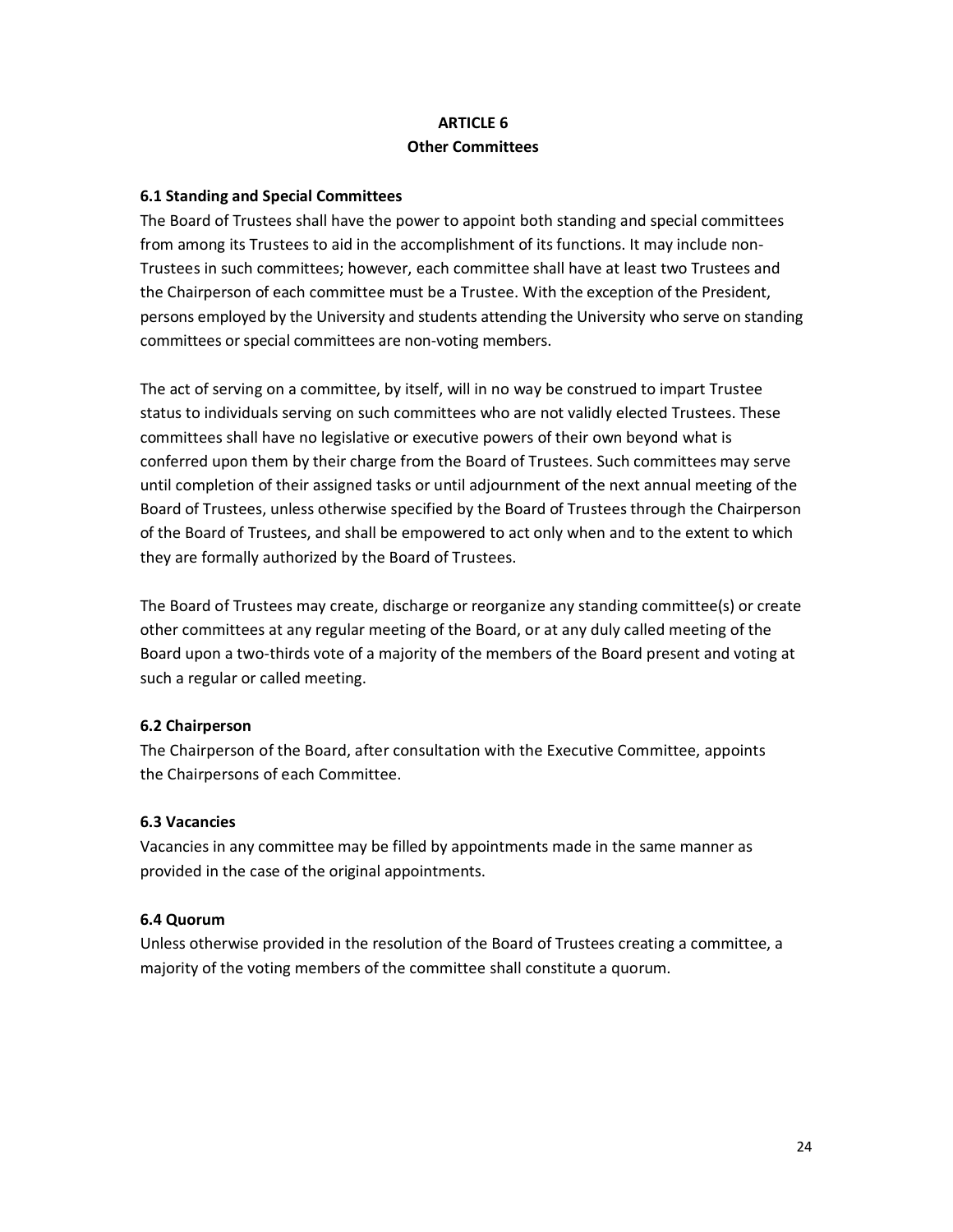# **ARTICLE 6 Other Committees**

# **6.1 Standing and Special Committees**

The Board of Trustees shall have the power to appoint both standing and special committees from among its Trustees to aid in the accomplishment of its functions. It may include non-Trustees in such committees; however, each committee shall have at least two Trustees and the Chairperson of each committee must be a Trustee. With the exception of the President, persons employed by the University and students attending the University who serve on standing committees or special committees are non-voting members.

The act of serving on a committee, by itself, will in no way be construed to impart Trustee status to individuals serving on such committees who are not validly elected Trustees. These committees shall have no legislative or executive powers of their own beyond what is conferred upon them by their charge from the Board of Trustees. Such committees may serve until completion of their assigned tasks or until adjournment of the next annual meeting of the Board of Trustees, unless otherwise specified by the Board of Trustees through the Chairperson of the Board of Trustees, and shall be empowered to act only when and to the extent to which they are formally authorized by the Board of Trustees.

The Board of Trustees may create, discharge or reorganize any standing committee(s) or create other committees at any regular meeting of the Board, or at any duly called meeting of the Board upon a two-thirds vote of a majority of the members of the Board present and voting at such a regular or called meeting.

#### **6.2 Chairperson**

The Chairperson of the Board, after consultation with the Executive Committee, appoints the Chairpersons of each Committee.

#### **6.3 Vacancies**

Vacancies in any committee may be filled by appointments made in the same manner as provided in the case of the original appointments.

#### **6.4 Quorum**

Unless otherwise provided in the resolution of the Board of Trustees creating a committee, a majority of the voting members of the committee shall constitute a quorum.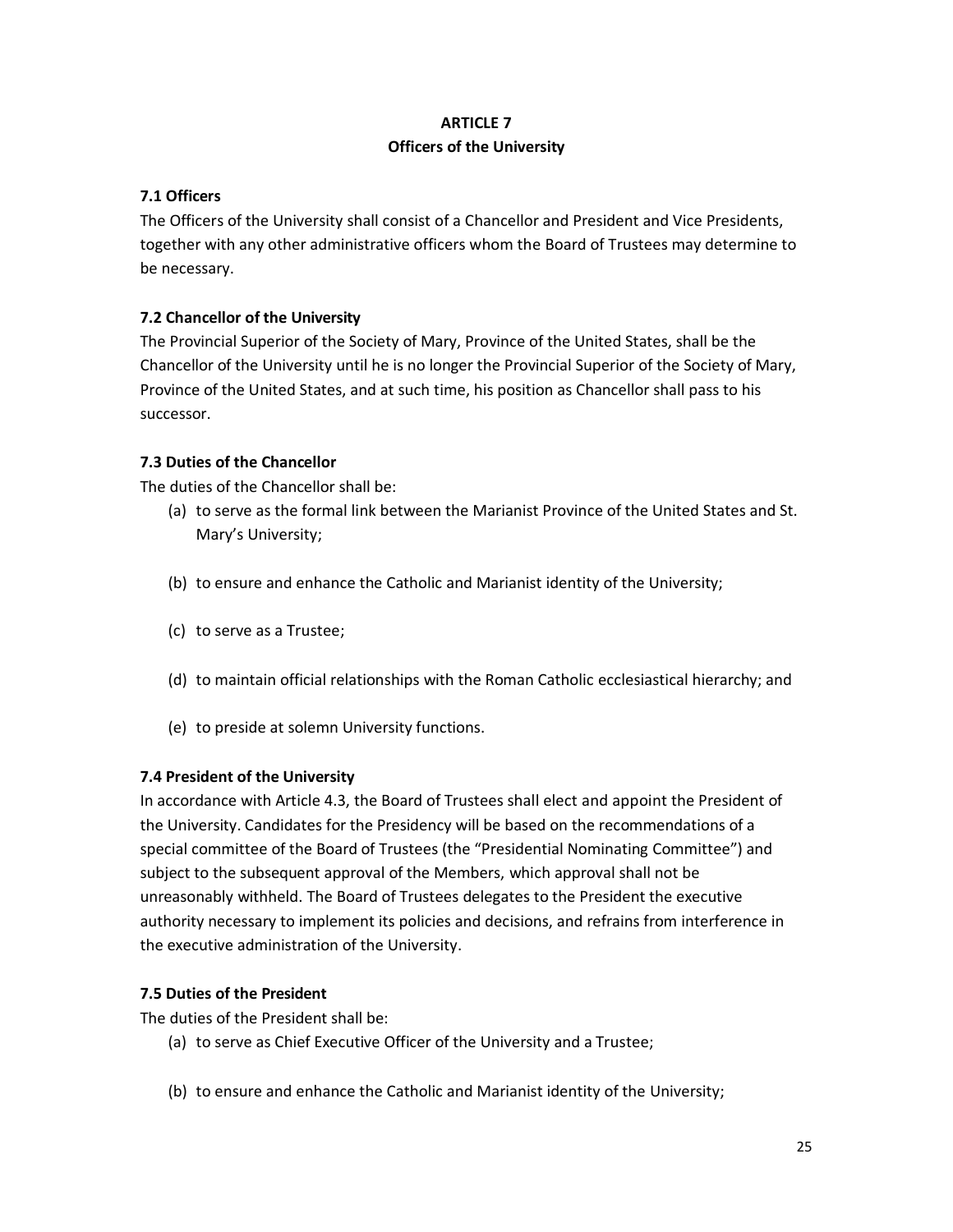# **ARTICLE 7 Officers of the University**

# **7.1 Officers**

The Officers of the University shall consist of a Chancellor and President and Vice Presidents, together with any other administrative officers whom the Board of Trustees may determine to be necessary.

# **7.2 Chancellor of the University**

The Provincial Superior of the Society of Mary, Province of the United States, shall be the Chancellor of the University until he is no longer the Provincial Superior of the Society of Mary, Province of the United States, and at such time, his position as Chancellor shall pass to his successor.

# **7.3 Duties of the Chancellor**

The duties of the Chancellor shall be:

- (a) to serve as the formal link between the Marianist Province of the United States and St. Mary's University;
- (b) to ensure and enhance the Catholic and Marianist identity of the University;
- (c) to serve as a Trustee;
- (d) to maintain official relationships with the Roman Catholic ecclesiastical hierarchy; and
- (e) to preside at solemn University functions.

# **7.4 President of the University**

In accordance with Article 4.3, the Board of Trustees shall elect and appoint the President of the University. Candidates for the Presidency will be based on the recommendations of a special committee of the Board of Trustees (the "Presidential Nominating Committee") and subject to the subsequent approval of the Members, which approval shall not be unreasonably withheld. The Board of Trustees delegates to the President the executive authority necessary to implement its policies and decisions, and refrains from interference in the executive administration of the University.

# **7.5 Duties of the President**

The duties of the President shall be:

- (a) to serve as Chief Executive Officer of the University and a Trustee;
- (b) to ensure and enhance the Catholic and Marianist identity of the University;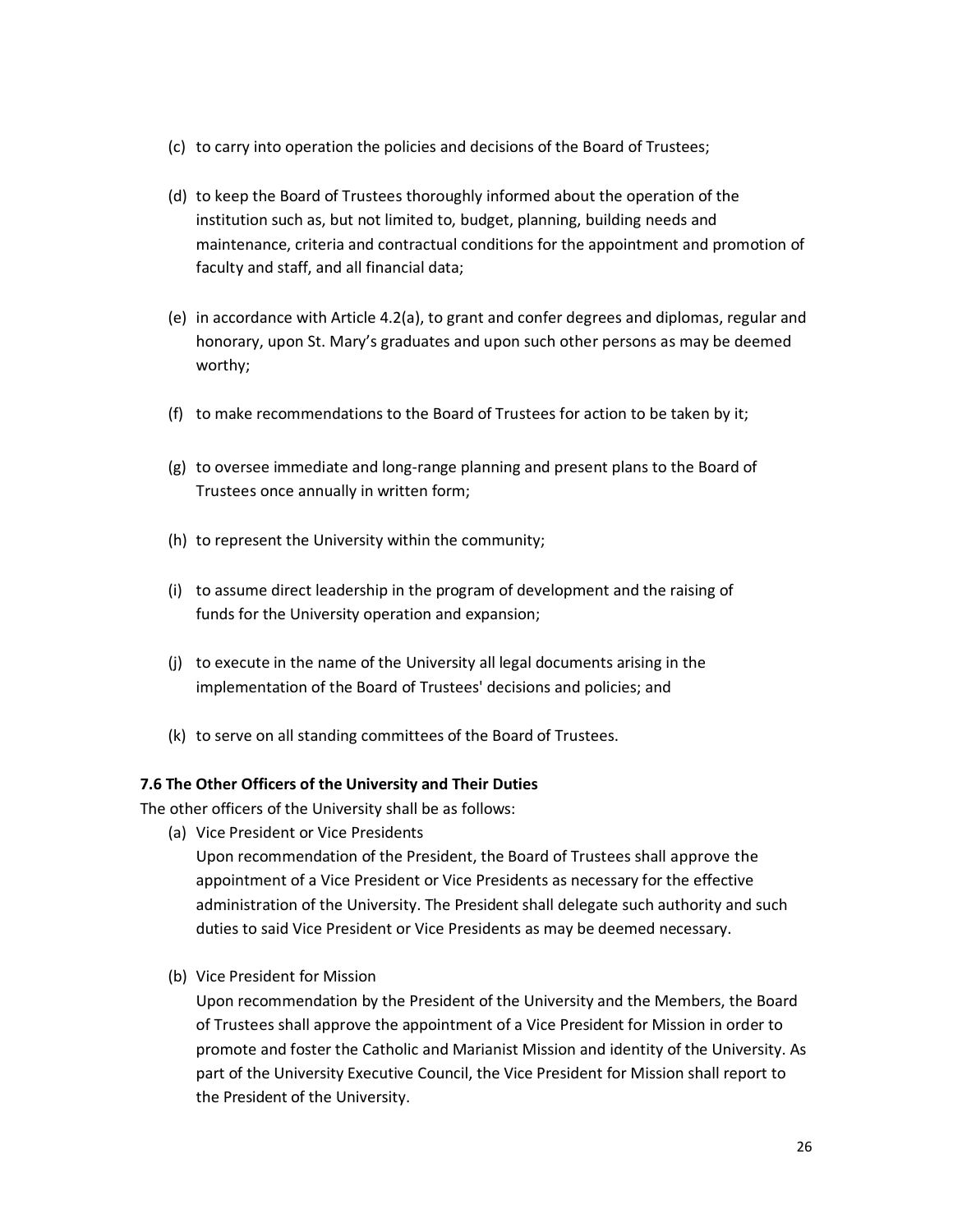- (c) to carry into operation the policies and decisions of the Board of Trustees;
- (d) to keep the Board of Trustees thoroughly informed about the operation of the institution such as, but not limited to, budget, planning, building needs and maintenance, criteria and contractual conditions for the appointment and promotion of faculty and staff, and all financial data;
- (e) in accordance with Article 4.2(a), to grant and confer degrees and diplomas, regular and honorary, upon St. Mary's graduates and upon such other persons as may be deemed worthy;
- (f) to make recommendations to the Board of Trustees for action to be taken by it;
- (g) to oversee immediate and long-range planning and present plans to the Board of Trustees once annually in written form;
- (h) to represent the University within the community;
- (i) to assume direct leadership in the program of development and the raising of funds for the University operation and expansion;
- (j) to execute in the name of the University all legal documents arising in the implementation of the Board of Trustees' decisions and policies; and
- (k) to serve on all standing committees of the Board of Trustees.

#### **7.6 The Other Officers of the University and Their Duties**

The other officers of the University shall be as follows:

(a) Vice President or Vice Presidents

Upon recommendation of the President, the Board of Trustees shall approve the appointment of a Vice President or Vice Presidents as necessary for the effective administration of the University. The President shall delegate such authority and such duties to said Vice President or Vice Presidents as may be deemed necessary.

(b) Vice President for Mission

Upon recommendation by the President of the University and the Members, the Board of Trustees shall approve the appointment of a Vice President for Mission in order to promote and foster the Catholic and Marianist Mission and identity of the University. As part of the University Executive Council, the Vice President for Mission shall report to the President of the University.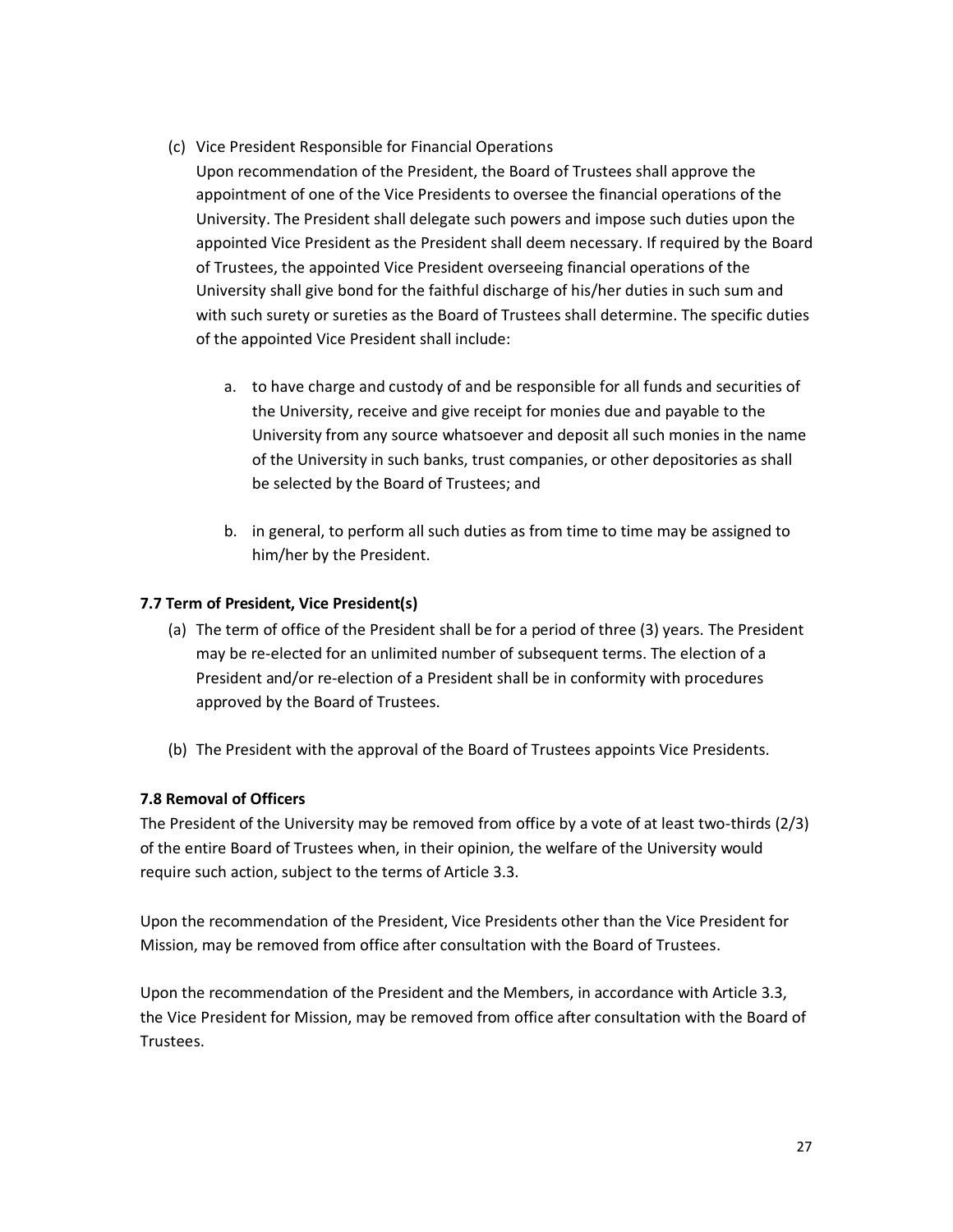- (c) Vice President Responsible for Financial Operations
	- Upon recommendation of the President, the Board of Trustees shall approve the appointment of one of the Vice Presidents to oversee the financial operations of the University. The President shall delegate such powers and impose such duties upon the appointed Vice President as the President shall deem necessary. If required by the Board of Trustees, the appointed Vice President overseeing financial operations of the University shall give bond for the faithful discharge of his/her duties in such sum and with such surety or sureties as the Board of Trustees shall determine. The specific duties of the appointed Vice President shall include:
		- a. to have charge and custody of and be responsible for all funds and securities of the University, receive and give receipt for monies due and payable to the University from any source whatsoever and deposit all such monies in the name of the University in such banks, trust companies, or other depositories as shall be selected by the Board of Trustees; and
		- b. in general, to perform all such duties as from time to time may be assigned to him/her by the President.

# **7.7 Term of President, Vice President(s)**

- (a) The term of office of the President shall be for a period of three (3) years. The President may be re-elected for an unlimited number of subsequent terms. The election of a President and/or re-election of a President shall be in conformity with procedures approved by the Board of Trustees.
- (b) The President with the approval of the Board of Trustees appoints Vice Presidents.

# **7.8 Removal of Officers**

The President of the University may be removed from office by a vote of at least two-thirds (2/3) of the entire Board of Trustees when, in their opinion, the welfare of the University would require such action, subject to the terms of Article 3.3.

Upon the recommendation of the President, Vice Presidents other than the Vice President for Mission, may be removed from office after consultation with the Board of Trustees.

Upon the recommendation of the President and the Members, in accordance with Article 3.3, the Vice President for Mission, may be removed from office after consultation with the Board of Trustees.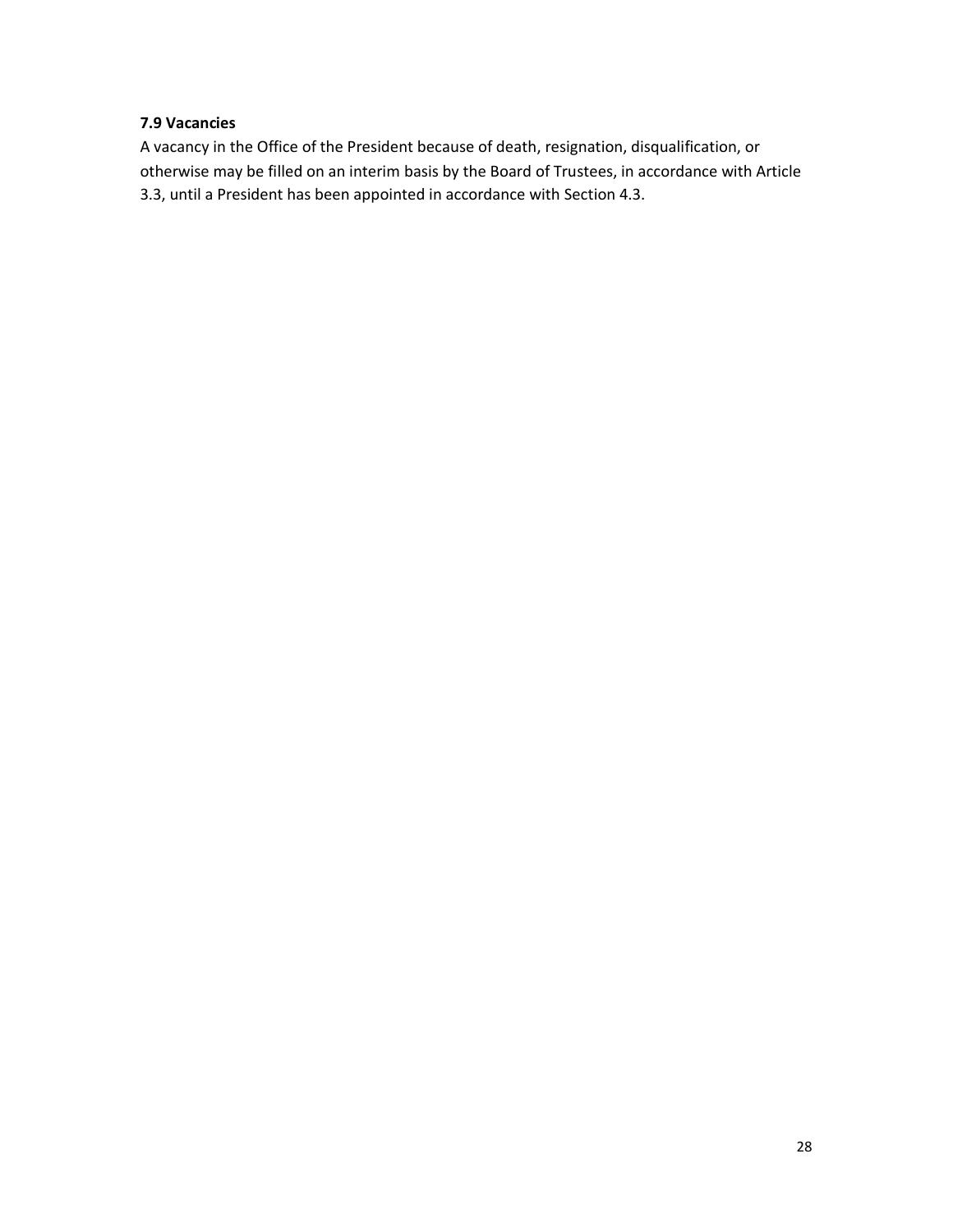# **7.9 Vacancies**

A vacancy in the Office of the President because of death, resignation, disqualification, or otherwise may be filled on an interim basis by the Board of Trustees, in accordance with Article 3.3, until a President has been appointed in accordance with Section 4.3.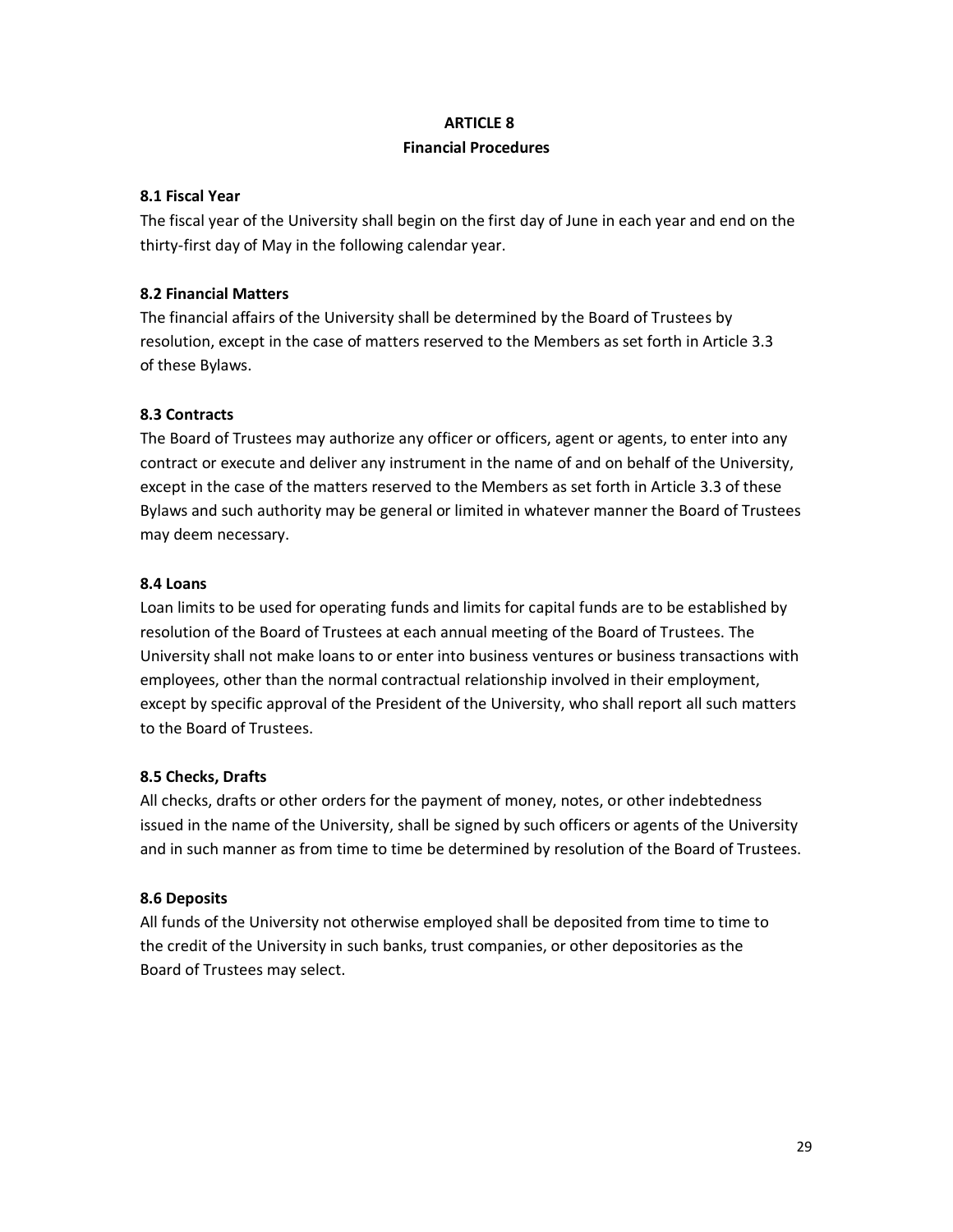#### **ARTICLE 8**

#### **Financial Procedures**

#### **8.1 Fiscal Year**

The fiscal year of the University shall begin on the first day of June in each year and end on the thirty-first day of May in the following calendar year.

# **8.2 Financial Matters**

The financial affairs of the University shall be determined by the Board of Trustees by resolution, except in the case of matters reserved to the Members as set forth in Article 3.3 of these Bylaws.

# **8.3 Contracts**

The Board of Trustees may authorize any officer or officers, agent or agents, to enter into any contract or execute and deliver any instrument in the name of and on behalf of the University, except in the case of the matters reserved to the Members as set forth in Article 3.3 of these Bylaws and such authority may be general or limited in whatever manner the Board of Trustees may deem necessary.

#### **8.4 Loans**

Loan limits to be used for operating funds and limits for capital funds are to be established by resolution of the Board of Trustees at each annual meeting of the Board of Trustees. The University shall not make loans to or enter into business ventures or business transactions with employees, other than the normal contractual relationship involved in their employment, except by specific approval of the President of the University, who shall report all such matters to the Board of Trustees.

# **8.5 Checks, Drafts**

All checks, drafts or other orders for the payment of money, notes, or other indebtedness issued in the name of the University, shall be signed by such officers or agents of the University and in such manner as from time to time be determined by resolution of the Board of Trustees.

# **8.6 Deposits**

All funds of the University not otherwise employed shall be deposited from time to time to the credit of the University in such banks, trust companies, or other depositories as the Board of Trustees may select.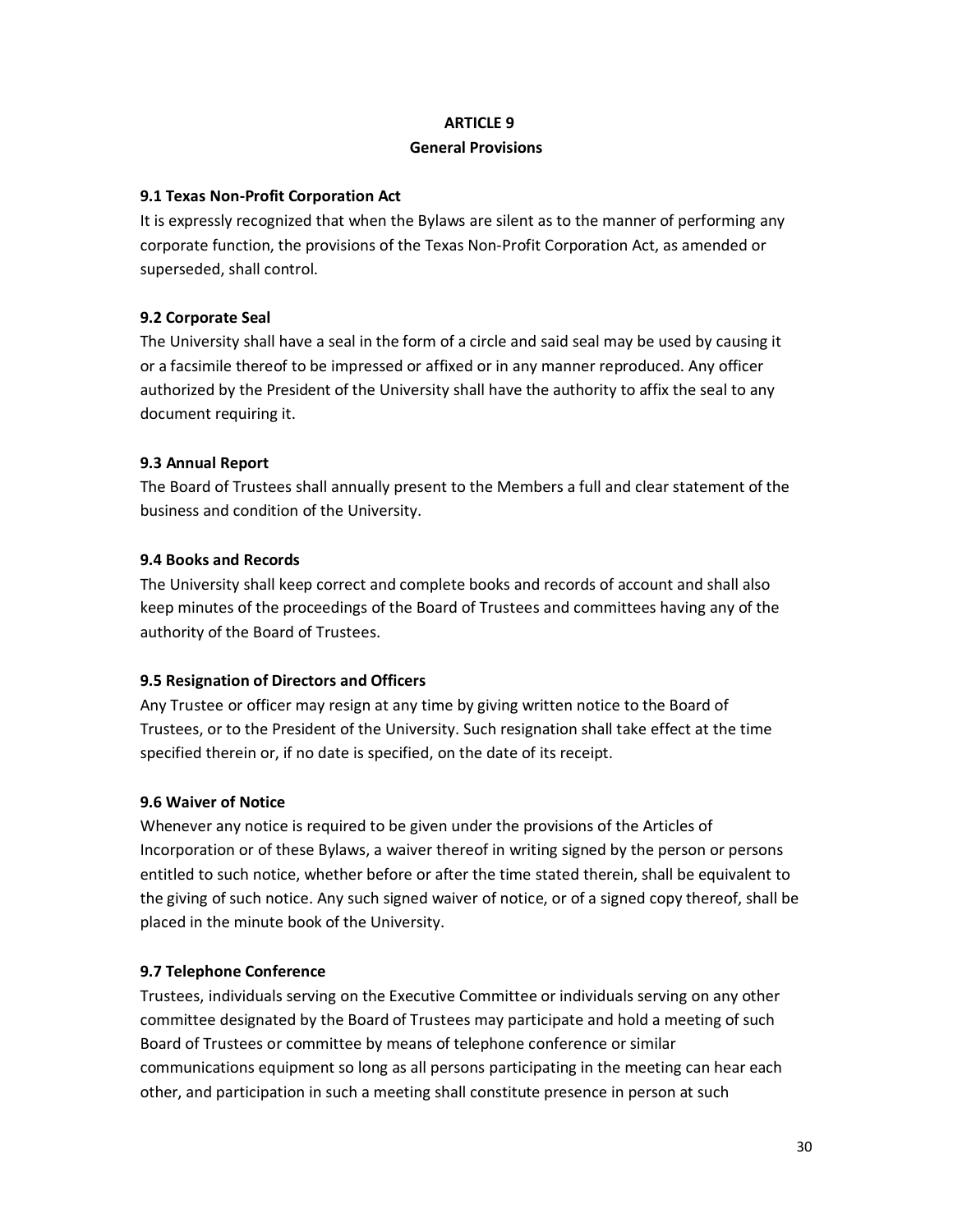# **ARTICLE 9**

#### **General Provisions**

# **9.1 Texas Non-Profit Corporation Act**

It is expressly recognized that when the Bylaws are silent as to the manner of performing any corporate function, the provisions of the Texas Non-Profit Corporation Act, as amended or superseded, shall control.

# **9.2 Corporate Seal**

The University shall have a seal in the form of a circle and said seal may be used by causing it or a facsimile thereof to be impressed or affixed or in any manner reproduced. Any officer authorized by the President of the University shall have the authority to affix the seal to any document requiring it.

# **9.3 Annual Report**

The Board of Trustees shall annually present to the Members a full and clear statement of the business and condition of the University.

# **9.4 Books and Records**

The University shall keep correct and complete books and records of account and shall also keep minutes of the proceedings of the Board of Trustees and committees having any of the authority of the Board of Trustees.

# **9.5 Resignation of Directors and Officers**

Any Trustee or officer may resign at any time by giving written notice to the Board of Trustees, or to the President of the University. Such resignation shall take effect at the time specified therein or, if no date is specified, on the date of its receipt.

#### **9.6 Waiver of Notice**

Whenever any notice is required to be given under the provisions of the Articles of Incorporation or of these Bylaws, a waiver thereof in writing signed by the person or persons entitled to such notice, whether before or after the time stated therein, shall be equivalent to the giving of such notice. Any such signed waiver of notice, or of a signed copy thereof, shall be placed in the minute book of the University.

# **9.7 Telephone Conference**

Trustees, individuals serving on the Executive Committee or individuals serving on any other committee designated by the Board of Trustees may participate and hold a meeting of such Board of Trustees or committee by means of telephone conference or similar communications equipment so long as all persons participating in the meeting can hear each other, and participation in such a meeting shall constitute presence in person at such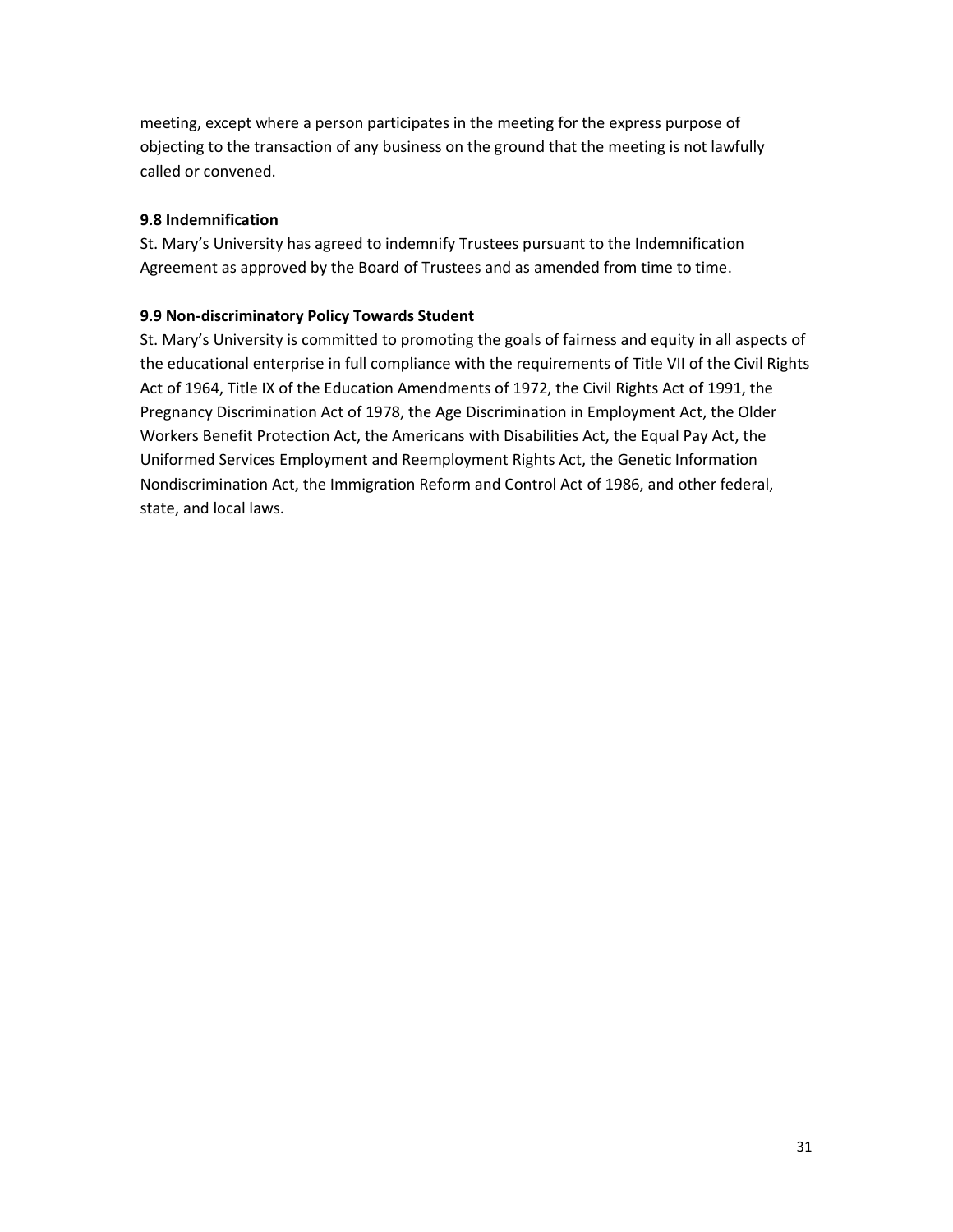meeting, except where a person participates in the meeting for the express purpose of objecting to the transaction of any business on the ground that the meeting is not lawfully called or convened.

# **9.8 Indemnification**

St. Mary's University has agreed to indemnify Trustees pursuant to the Indemnification Agreement as approved by the Board of Trustees and as amended from time to time.

# **9.9 Non-discriminatory Policy Towards Student**

St. Mary's University is committed to promoting the goals of fairness and equity in all aspects of the educational enterprise in full compliance with the requirements of Title VII of the Civil Rights Act of 1964, Title IX of the Education Amendments of 1972, the Civil Rights Act of 1991, the Pregnancy Discrimination Act of 1978, the Age Discrimination in Employment Act, the Older Workers Benefit Protection Act, the Americans with Disabilities Act, the Equal Pay Act, the Uniformed Services Employment and Reemployment Rights Act, the Genetic Information Nondiscrimination Act, the Immigration Reform and Control Act of 1986, and other federal, state, and local laws.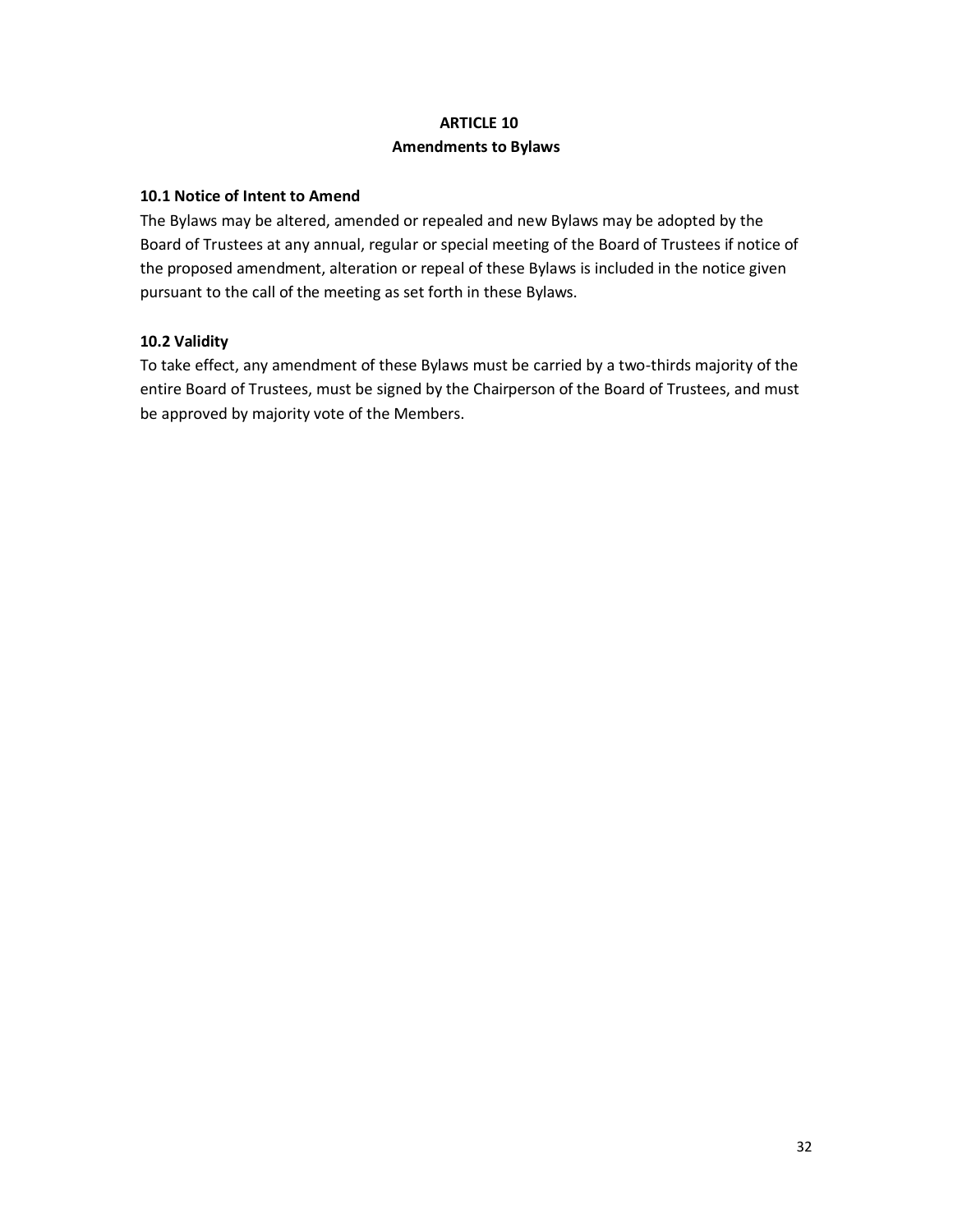# **ARTICLE 10**

# **Amendments to Bylaws**

# **10.1 Notice of Intent to Amend**

The Bylaws may be altered, amended or repealed and new Bylaws may be adopted by the Board of Trustees at any annual, regular or special meeting of the Board of Trustees if notice of the proposed amendment, alteration or repeal of these Bylaws is included in the notice given pursuant to the call of the meeting as set forth in these Bylaws.

# **10.2 Validity**

To take effect, any amendment of these Bylaws must be carried by a two-thirds majority of the entire Board of Trustees, must be signed by the Chairperson of the Board of Trustees, and must be approved by majority vote of the Members.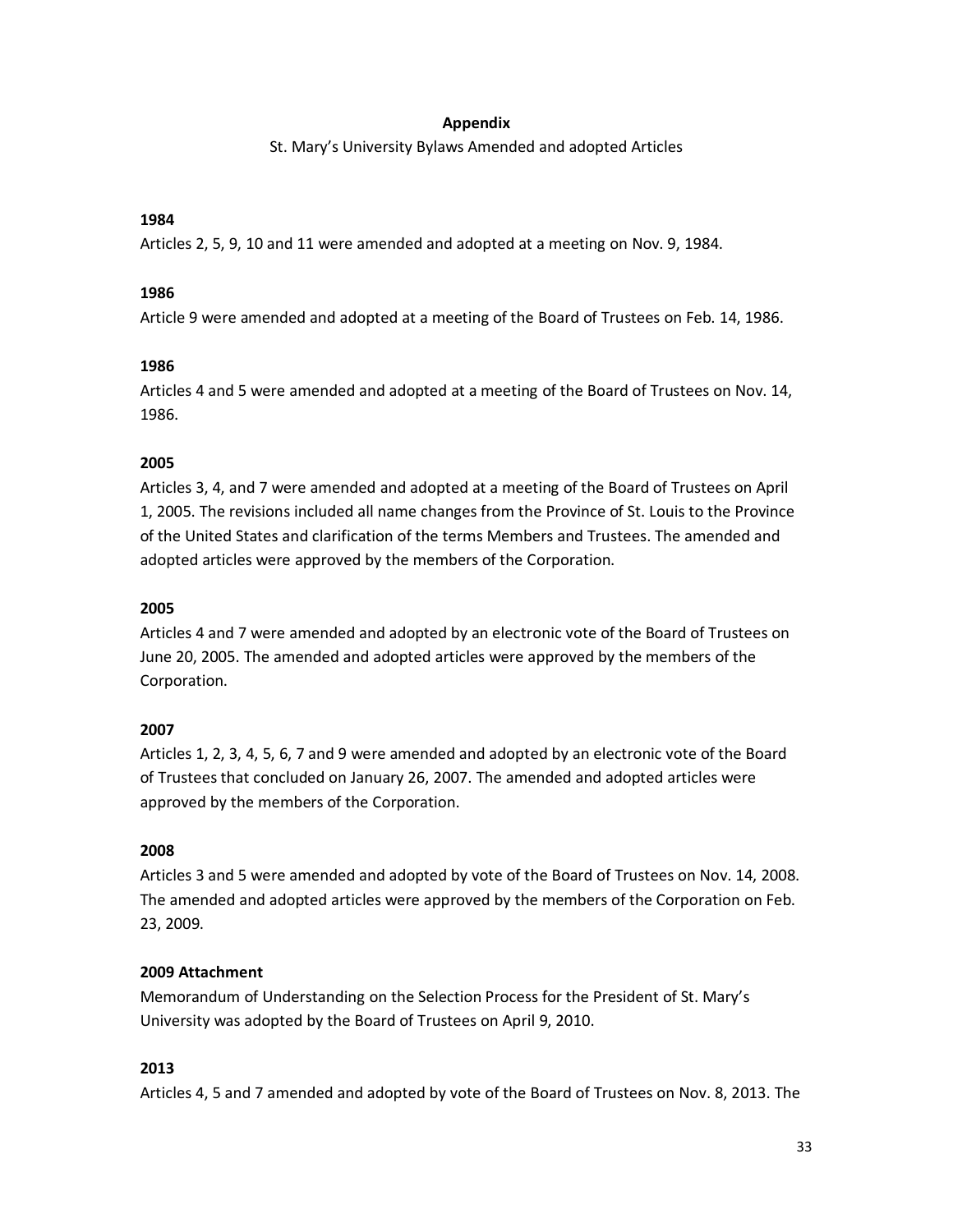#### **Appendix**

St. Mary's University Bylaws Amended and adopted Articles

#### **1984**

Articles 2, 5, 9, 10 and 11 were amended and adopted at a meeting on Nov. 9, 1984.

#### **1986**

Article 9 were amended and adopted at a meeting of the Board of Trustees on Feb. 14, 1986.

#### **1986**

Articles 4 and 5 were amended and adopted at a meeting of the Board of Trustees on Nov. 14, 1986.

#### **2005**

Articles 3, 4, and 7 were amended and adopted at a meeting of the Board of Trustees on April 1, 2005. The revisions included all name changes from the Province of St. Louis to the Province of the United States and clarification of the terms Members and Trustees. The amended and adopted articles were approved by the members of the Corporation.

#### **2005**

Articles 4 and 7 were amended and adopted by an electronic vote of the Board of Trustees on June 20, 2005. The amended and adopted articles were approved by the members of the Corporation.

#### **2007**

Articles 1, 2, 3, 4, 5, 6, 7 and 9 were amended and adopted by an electronic vote of the Board of Trustees that concluded on January 26, 2007. The amended and adopted articles were approved by the members of the Corporation.

#### **2008**

Articles 3 and 5 were amended and adopted by vote of the Board of Trustees on Nov. 14, 2008. The amended and adopted articles were approved by the members of the Corporation on Feb. 23, 2009.

#### **2009 Attachment**

Memorandum of Understanding on the Selection Process for the President of St. Mary's University was adopted by the Board of Trustees on April 9, 2010.

#### **2013**

Articles 4, 5 and 7 amended and adopted by vote of the Board of Trustees on Nov. 8, 2013. The